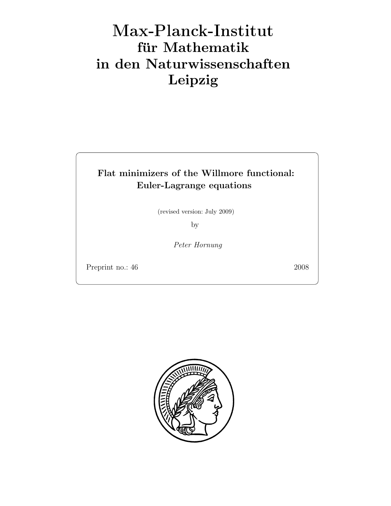# Max-Plan
k-Institut für Mathematik in den Naturwissenschaften Leipzig

# Flat minimizers of the Willmore functional: Euler-Lagrange equations

(revised version: July 2009)

by

Peter Hornung

Preprint no.: 46 2008

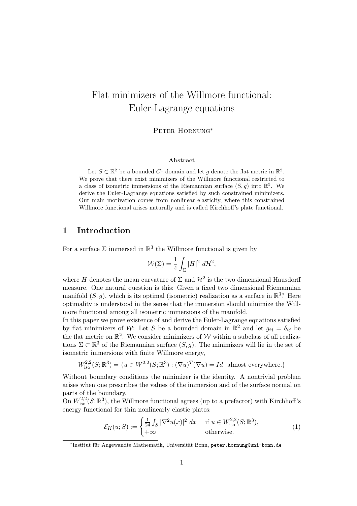# Flat minimizers of the Willmore functional: Euler-Lagrange equations

Peter Hornung<sup>∗</sup>

#### Abstract

Let  $S \subset \mathbb{R}^2$  be a bounded  $C^1$  domain and let g denote the flat metric in  $\mathbb{R}^2$ . We prove that there exist minimizers of the Willmore functional restricted to a class of isometric immersions of the Riemannian surface  $(S, g)$  into  $\mathbb{R}^3$ . We derive the Euler-Lagrange equations satisfied by such constrained minimizers. Our main motivation comes from nonlinear elasticity, where this constrained Willmore functional arises naturally and is called Kirchhoff's plate functional.

## 1 Introduction

For a surface  $\Sigma$  immersed in  $\mathbb{R}^3$  the Willmore functional is given by

$$
\mathcal{W}(\Sigma) = \frac{1}{4} \int_{\Sigma} |H|^2 \, d\mathcal{H}^2,
$$

where H denotes the mean curvature of  $\Sigma$  and  $\mathcal{H}^2$  is the two dimensional Hausdorff measure. One natural question is this: Given a fixed two dimensional Riemannian manifold  $(S, g)$ , which is its optimal (isometric) realization as a surface in  $\mathbb{R}^3$ ? Here optimality is understood in the sense that the immersion should minimize the Willmore functional among all isometric immersions of the manifold.

In this paper we prove existence of and derive the Euler-Lagrange equations satisfied by flat minimizers of W: Let S be a bounded domain in  $\mathbb{R}^2$  and let  $g_{ij} = \delta_{ij}$  be the flat metric on  $\mathbb{R}^2$ . We consider minimizers of W within a subclass of all realizations  $\Sigma \subset \mathbb{R}^3$  of the Riemannian surface  $(S, g)$ . The minimizers will lie in the set of isometric immersions with finite Willmore energy,

$$
W_{\text{iso}}^{2,2}(S;\mathbb{R}^3) = \{ u \in W^{2,2}(S;\mathbb{R}^3) : (\nabla u)^T (\nabla u) = Id \text{ almost everywhere.} \}
$$

Without boundary conditions the minimizer is the identity. A nontrivial problem arises when one prescribes the values of the immersion and of the surface normal on parts of the boundary.

On  $W_{\text{iso}}^{2,2}(S;\mathbb{R}^3)$ , the Willmore functional agrees (up to a prefactor) with Kirchhoff's energy functional for thin nonlinearly elastic plates:

$$
\mathcal{E}_K(u;S) := \begin{cases} \frac{1}{24} \int_S |\nabla^2 u(x)|^2 dx & \text{if } u \in W_{\text{iso}}^{2,2}(S;\mathbb{R}^3), \\ +\infty & \text{otherwise.} \end{cases}
$$
(1)

<sup>\*</sup>Institut für Angewandte Mathematik, Universität Bonn, peter.hornung@uni-bonn.de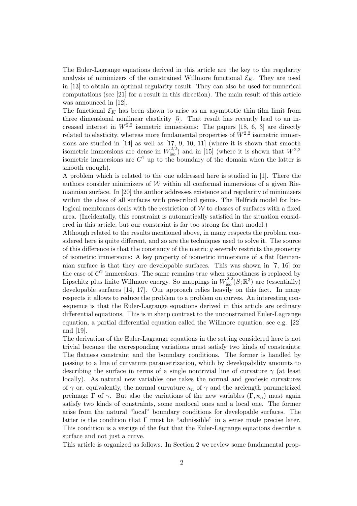The Euler-Lagrange equations derived in this article are the key to the regularity analysis of minimizers of the constrained Willmore functional  $\mathcal{E}_K$ . They are used in [13] to obtain an optimal regularity result. They can also be used for numerical computations (see [21] for a result in this direction). The main result of this article was announced in [12].

The functional  $\mathcal{E}_K$  has been shown to arise as an asymptotic thin film limit from three dimensional nonlinear elasticity [5]. That result has recently lead to an increased interest in  $W^{2,2}$  isometric immersions: The papers [18, 6, 3] are directly related to elasticity, whereas more fundamental properties of  $W^{2,2}$  isometric immersions are studied in [14] as well as [17, 9, 10, 11] (where it is shown that smooth isometric immersions are dense in  $W_{\text{iso}}^{2,2}$  and in [15] (where it is shown that  $W^{2,2}$ isometric immersions are  $C^1$  up to the boundary of the domain when the latter is smooth enough).

A problem which is related to the one addressed here is studied in [1]. There the authors consider minimizers of  $W$  within all conformal immersions of a given Riemannian surface. In [20] the author addresses existence and regularity of minimizers within the class of all surfaces with prescribed genus. The Helfrich model for biological membranes deals with the restriction of  $W$  to classes of surfaces with a fixed area. (Incidentally, this constraint is automatically satisfied in the situation considered in this article, but our constraint is far too strong for that model.)

Although related to the results mentioned above, in many respects the problem considered here is quite different, and so are the techniques used to solve it. The source of this difference is that the constancy of the metric q severely restricts the geometry of isometric immersions: A key property of isometric immersions of a flat Riemannian surface is that they are developable surfaces. This was shown in [7, 16] for the case of  $C^2$  immersions. The same remains true when smoothness is replaced by Lipschitz plus finite Willmore energy. So mappings in  $W^{2,2}_{\text{iso}}(S;\mathbb{R}^3)$  are (essentially) developable surfaces [14, 17]. Our approach relies heavily on this fact. In many respects it allows to reduce the problem to a problem on curves. An interesting consequence is that the Euler-Lagrange equations derived in this article are ordinary differential equations. This is in sharp contrast to the unconstrained Euler-Lagrange equation, a partial differential equation called the Willmore equation, see e.g. [22] and [19].

The derivation of the Euler-Lagrange equations in the setting considered here is not trivial because the corresponding variations must satisfy two kinds of constraints: The flatness constraint and the boundary conditions. The former is handled by passing to a line of curvature parametrization, which by developability amounts to describing the surface in terms of a single nontrivial line of curvature  $\gamma$  (at least locally). As natural new variables one takes the normal and geodesic curvatures of  $\gamma$  or, equivalently, the normal curvature  $\kappa_n$  of  $\gamma$  and the arclength parametrized preimage  $\Gamma$  of  $\gamma$ . But also the variations of the new variables  $(\Gamma, \kappa_n)$  must again satisfy two kinds of constraints, some nonlocal ones and a local one. The former arise from the natural "local" boundary conditions for developable surfaces. The latter is the condition that  $\Gamma$  must be "admissible" in a sense made precise later. This condition is a vestige of the fact that the Euler-Lagrange equations describe a surface and not just a curve.

This article is organized as follows. In Section 2 we review some fundamental prop-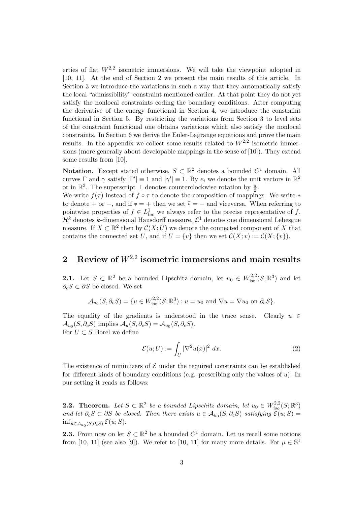erties of flat  $W^{2,2}$  isometric immersions. We will take the viewpoint adopted in [10, 11]. At the end of Section 2 we present the main results of this article. In Section 3 we introduce the variations in such a way that they automatically satisfy the local "admissibility" constraint mentioned earlier. At that point they do not yet satisfy the nonlocal constraints coding the boundary conditions. After computing the derivative of the energy functional in Section 4, we introduce the constraint functional in Section 5. By restricting the variations from Section 3 to level sets of the constraint functional one obtains variations which also satisfy the nonlocal constraints. In Section 6 we derive the Euler-Lagrange equations and prove the main results. In the appendix we collect some results related to  $W^{2,2}$  isometric immersions (more generally about developable mappings in the sense of [10]). They extend some results from [10].

**Notation.** Except stated otherwise,  $S \subset \mathbb{R}^2$  denotes a bounded  $C^1$  domain. All curves  $\Gamma$  and  $\gamma$  satisfy  $|\Gamma'| \equiv 1$  and  $|\gamma'| \equiv 1$ . By  $e_i$  we denote the unit vectors in  $\mathbb{R}^2$ or in  $\mathbb{R}^3$ . The superscript  $\perp$  denotes counterclockwise rotation by  $\frac{\pi}{2}$ .

We write  $f(\tau)$  instead of  $f \circ \tau$  to denote the composition of mappings. We write  $*$ to denote + or -, and if  $* = +$  then we set  $\bar{*} = -$  and viceversa. When referring to pointwise properties of  $f \in L^1_{loc}$  we always refer to the precise representative of f.  $\mathcal{H}^k$  denotes k-dimensional Hausdorff measure,  $\mathcal{L}^1$  denotes one dimensional Lebesgue measure. If  $X \subset \mathbb{R}^2$  then by  $\mathcal{C}(X;U)$  we denote the connected component of X that contains the connected set U, and if  $U = \{v\}$  then we set  $\mathcal{C}(X; v) := \mathcal{C}(X; \{v\}).$ 

# 2 Review of  $W^{2,2}$  isometric immersions and main results

**2.1.** Let  $S \subset \mathbb{R}^2$  be a bounded Lipschitz domain, let  $u_0 \in W^{2,2}_{\text{iso}}(S;\mathbb{R}^3)$  and let  $\partial_c S \subset \partial S$  be closed. We set

 $\mathcal{A}_{u_0}(S, \partial_c S) = \{u \in W^{2,2}_{\text{iso}}(S; \mathbb{R}^3) : u = u_0 \text{ and } \nabla u = \nabla u_0 \text{ on } \partial_c S\}.$ 

The equality of the gradients is understood in the trace sense. Clearly  $u \in$  $\mathcal{A}_{u_0}(S, \partial_c S)$  implies  $\mathcal{A}_u(S, \partial_c S) = \mathcal{A}_{u_0}(S, \partial_c S)$ . For  $U \subset S$  Borel we define

$$
\mathcal{E}(u;U) := \int_{U} |\nabla^2 u(x)|^2 dx.
$$
 (2)

The existence of minimizers of  $\mathcal E$  under the required constraints can be established for different kinds of boundary conditions (e.g. prescribing only the values of  $u$ ). In our setting it reads as follows:

**2.2.** Theorem. Let  $S \subset \mathbb{R}^2$  be a bounded Lipschitz domain, let  $u_0 \in W^{2,2}_{iso}(S;\mathbb{R}^3)$ and let  $\partial_c S \subset \partial S$  be closed. Then there exists  $u \in A_{u_0}(S, \partial_c S)$  satisfying  $\mathcal{E}(u; S) =$  $\inf_{\bar{u}\in\mathcal{A}_{u_0}(S,\partial_cS)}\mathcal{E}(\bar{u};S).$ 

**2.3.** From now on let  $S \subset \mathbb{R}^2$  be a bounded  $C^1$  domain. Let us recall some notions from [10, 11] (see also [9]). We refer to [10, 11] for many more details. For  $\mu \in \mathbb{S}^1$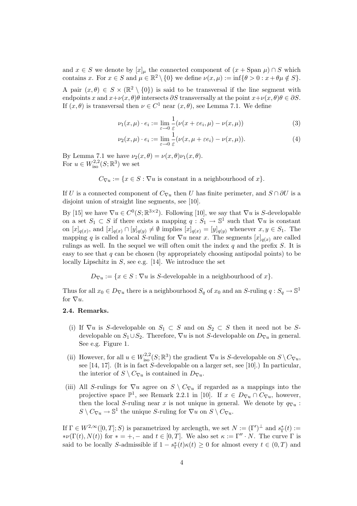and  $x \in S$  we denote by  $[x]_\mu$  the connected component of  $(x + \text{Span }\mu) \cap S$  which contains x. For  $x \in S$  and  $\mu \in \mathbb{R}^2 \setminus \{0\}$  we define  $\nu(x, \mu) := \inf \{ \theta > 0 : x + \theta \mu \notin S \}.$ 

A pair  $(x, \theta) \in S \times (\mathbb{R}^2 \setminus \{0\})$  is said to be transversal if the line segment with endpoints x and  $x+\nu(x,\theta)\theta$  intersects  $\partial S$  transversally at the point  $x+\nu(x,\theta)\theta \in \partial S$ . If  $(x, \theta)$  is transversal then  $\nu \in C^1$  near  $(x, \theta)$ , see Lemma 7.1. We define

$$
\nu_1(x,\mu) \cdot e_i := \lim_{\varepsilon \to 0} \frac{1}{\varepsilon} (\nu(x + \varepsilon e_i, \mu) - \nu(x, \mu)) \tag{3}
$$

$$
\nu_2(x,\mu)\cdot e_i := \lim_{\varepsilon \to 0} \frac{1}{\varepsilon} (\nu(x,\mu + \varepsilon e_i) - \nu(x,\mu)). \tag{4}
$$

By Lemma 7.1 we have  $\nu_2(x,\theta) = \nu(x,\theta)\nu_1(x,\theta)$ . For  $u \in W^{2,2}_{\text{iso}}(S;\mathbb{R}^3)$  we set

$$
C_{\nabla u} := \{x \in S : \nabla u \text{ is constant in a neighbourhood of } x\}.
$$

If U is a connected component of  $C_{\nabla u}$  then U has finite perimeter, and  $S \cap \partial U$  is a disjoint union of straight line segments, see [10].

By [15] we have  $\nabla u \in C^0(S; \mathbb{R}^{3 \times 2})$ . Following [10], we say that  $\nabla u$  is S-developable on a set  $S_1 \subset S$  if there exists a mapping  $q : S_1 \to \mathbb{S}^1$  such that  $\nabla u$  is constant on  $[x]_{q(x)}$ , and  $[x]_{q(x)} \cap [y]_{q(y)} \neq \emptyset$  implies  $[x]_{q(x)} = [y]_{q(y)}$  whenever  $x, y \in S_1$ . The mapping q is called a local S-ruling for  $\nabla u$  near x. The segments  $[x]_{q(x)}$  are called rulings as well. In the sequel we will often omit the index  $q$  and the prefix  $S$ . It is easy to see that  $q$  can be chosen (by appropriately choosing antipodal points) to be locally Lipschitz in  $S$ , see e.g. [14]. We introduce the set

 $D_{\nabla u} := \{x \in S : \nabla u$  is S-developable in a neighbourhood of  $x\}.$ 

Thus for all  $x_0 \in D_{\nabla u}$  there is a neighbourhood  $S_q$  of  $x_0$  and an S-ruling  $q: S_q \to \mathbb{S}^1$ for  $\nabla u$ .

#### 2.4. Remarks.

- (i) If  $\nabla u$  is S-developable on  $S_1 \subset S$  and on  $S_2 \subset S$  then it need not be Sdevelopable on  $S_1 \cup S_2$ . Therefore,  $\nabla u$  is not S-developable on  $D_{\nabla u}$  in general. See e.g. Figure 1.
- (ii) However, for all  $u \in W^{2,2}_{\text{iso}}(S;\mathbb{R}^3)$  the gradient  $\nabla u$  is S-developable on  $S \setminus C_{\nabla u}$ , see [14, 17]. (It is in fact S-developable on a larger set, see [10].) In particular, the interior of  $S \setminus C_{\nabla u}$  is contained in  $D_{\nabla u}$ .
- (iii) All S-rulings for  $\nabla u$  agree on  $S \setminus C_{\nabla u}$  if regarded as a mappings into the projective space  $\mathbb{P}^1$ , see Remark 2.2.1 in [10]. If  $x \in D_{\nabla u} \cap C_{\nabla u}$ , however, then the local S-ruling near x is not unique in general. We denote by  $q_{\nabla u}$ :  $S \setminus C_{\nabla u} \to \mathbb{S}^1$  the unique S-ruling for  $\nabla u$  on  $S \setminus C_{\nabla u}$ .

If  $\Gamma \in W^{2,\infty}([0,T]; S)$  is parametrized by arclength, we set  $N := (\Gamma')^{\perp}$  and  $s_{\Gamma}^*(t) :=$  $*\nu(\Gamma(t), N(t))$  for  $* = +, -$  and  $t \in [0, T]$ . We also set  $\kappa := \Gamma'' \cdot N$ . The curve  $\Gamma$  is said to be locally S-admissible if  $1 - s_{\Gamma}^*(t) \kappa(t) \geq 0$  for almost every  $t \in (0, T)$  and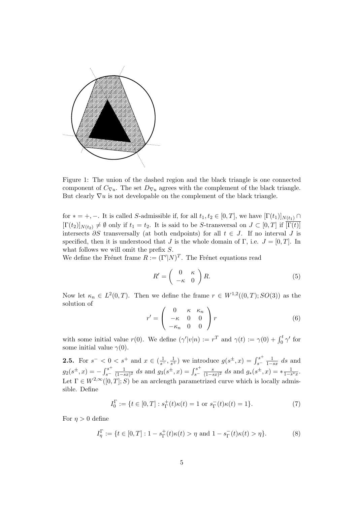

Figure 1: The union of the dashed region and the black triangle is one connected component of  $C_{\nabla u}$ . The set  $D_{\nabla u}$  agrees with the complement of the black triangle. But clearly  $\nabla u$  is not developable on the complement of the black triangle.

for  $* = +, -$ . It is called S-admissible if, for all  $t_1, t_2 \in [0, T]$ , we have  $[\Gamma(t_1)]_{N(t_1)} \cap$  $[\Gamma(t_2)]_{N(t_2)} \neq \emptyset$  only if  $t_1 = t_2$ . It is said to be S-transversal on  $J \subset [0,T]$  if  $\overline{[\Gamma(t)]}$ intersects  $\partial S$  transversally (at both endpoints) for all  $t \in J$ . If no interval J is specified, then it is understood that J is the whole domain of Γ, i.e.  $J = [0, T]$ . In what follows we will omit the prefix  $S$ .

We define the Frénet frame  $R := (\Gamma'|N)^T$ . The Frénet equations read

$$
R' = \begin{pmatrix} 0 & \kappa \\ -\kappa & 0 \end{pmatrix} R. \tag{5}
$$

Now let  $\kappa_n \in L^2(0,T)$ . Then we define the frame  $r \in W^{1,2}((0,T);SO(3))$  as the solution of

$$
r' = \begin{pmatrix} 0 & \kappa & \kappa_n \\ -\kappa & 0 & 0 \\ -\kappa_n & 0 & 0 \end{pmatrix} r
$$
 (6)

with some initial value  $r(0)$ . We define  $(\gamma'|v|n) := r^T$  and  $\gamma(t) := \gamma(0) + \int_0^t \gamma'$  for some initial value  $\gamma(0)$ .

**2.5.** For  $s^- < 0 < s^+$  and  $x \in (\frac{1}{s^-}, \frac{1}{s^+})$  we introduce  $g(s^{\pm}, x) = \int_{s^-}^{s^+}$  $s^{-}\frac{1}{1-sx}$  ds and  $g_2(s^{\pm},x) = -\int_{s^-}^{s^+}$  $s^{-}$   $\frac{1}{(1-s)}$  $\frac{1}{(1-sx)^2}$  ds and  $g_3(s^{\pm}, x) = \int_{s^-}^{s^+}$ <sup>•s⊤</sup>  $\frac{s}{s}$ <sup>-</sup>  $\frac{s}{(1-s)}$  $\frac{s}{(1-sx)^2}$  ds and  $g_*(s^{\pm}, x) = * \frac{1}{1-s^*x}$ . Let  $\Gamma \in W^{2,\infty}([0,T]; S)$  be an arclength parametrized curve which is locally admissible. Define

$$
I_0^{\Gamma} := \{ t \in [0, T] : s_{\Gamma}^+(t) \kappa(t) = 1 \text{ or } s_{\Gamma}^-(t) \kappa(t) = 1 \}.
$$
 (7)

For  $\eta > 0$  define

$$
I_{\eta}^{\Gamma} := \{ t \in [0, T] : 1 - s_{\Gamma}^+(t) \kappa(t) > \eta \text{ and } 1 - s_{\Gamma}^-(t) \kappa(t) > \eta \}. \tag{8}
$$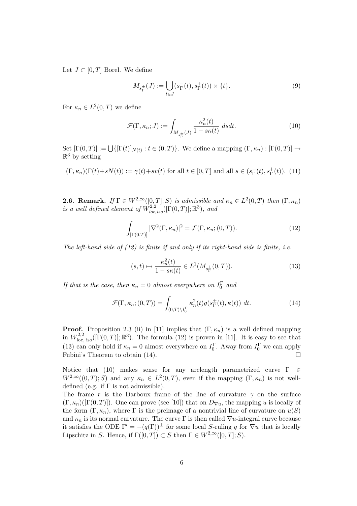Let  $J \subset [0, T]$  Borel. We define

$$
M_{s_{\Gamma}^{\pm}}(J) := \bigcup_{t \in J} (s_{\Gamma}^{-}(t), s_{\Gamma}^{+}(t)) \times \{t\}.
$$
 (9)

For  $\kappa_n \in L^2(0,T)$  we define

$$
\mathcal{F}(\Gamma,\kappa_n;J) := \int_{M_{s_\Gamma^\pm}(J)} \frac{\kappa_n^2(t)}{1 - s\kappa(t)} \ ds dt. \tag{10}
$$

Set  $[\Gamma(0,T)] := \bigcup \{ [\Gamma(t)]_{N(t)} : t \in (0,T) \}$ . We define a mapping  $(\Gamma, \kappa_n) : [\Gamma(0,T)] \to$  $\mathbb{R}^3$  by setting

$$
(\Gamma, \kappa_n)(\Gamma(t) + sN(t)) := \gamma(t) + sv(t) \text{ for all } t \in [0, T] \text{ and all } s \in (s_\Gamma^-(t), s_\Gamma^+(t)). \tag{11}
$$

**2.6. Remark.** If  $\Gamma \in W^{2,\infty}([0,T];S)$  is admissible and  $\kappa_n \in L^2(0,T)$  then  $(\Gamma, \kappa_n)$ is a well defined element of  $\widetilde{W}_{loc,iso}^{2,2}([\Gamma(0,T)];\mathbb{R}^3)$ , and

$$
\int_{\left[\Gamma(0,T)\right]} |\nabla^2(\Gamma,\kappa_n)|^2 = \mathcal{F}(\Gamma,\kappa_n;(0,T)).\tag{12}
$$

The left-hand side of  $(12)$  is finite if and only if its right-hand side is finite, i.e.

$$
(s,t) \mapsto \frac{\kappa_n^2(t)}{1 - s\kappa(t)} \in L^1(M_{s_\Gamma^{\pm}}(0,T)).
$$
\n(13)

If that is the case, then  $\kappa_n = 0$  almost everywhere on  $I_0^{\Gamma}$  and

$$
\mathcal{F}(\Gamma,\kappa_n;(0,T)) = \int_{(0,T)\backslash I_0^{\Gamma}} \kappa_n^2(t) g(s_{\Gamma}^{\pm}(t),\kappa(t)) dt.
$$
 (14)

**Proof.** Proposition 2.3 (ii) in [11] implies that  $(\Gamma, \kappa_n)$  is a well defined mapping in  $W^{2,2}_{\text{loc, iso}}([ \Gamma(0,T)]; \mathbb{R}^3)$ . The formula (12) is proven in [11]. It is easy to see that (13) can only hold if  $\kappa_n = 0$  almost everywhere on  $I_0^{\Gamma}$ . Away from  $I_0^{\Gamma}$  we can apply Fubini's Theorem to obtain  $(14)$ .

Notice that (10) makes sense for any arclength parametrized curve  $\Gamma \in \mathbb{C}$  $W^{2,\infty}((0,T);S)$  and any  $\kappa_n \in L^2(0,T)$ , even if the mapping  $(\Gamma,\kappa_n)$  is not welldefined (e.g. if  $\Gamma$  is not admissible).

The frame r is the Darboux frame of the line of curvature  $\gamma$  on the surface  $(\Gamma, \kappa_n)([\Gamma(0,T)])$ . One can prove (see [10]) that on  $D_{\nabla u}$ , the mapping u is locally of the form  $(\Gamma, \kappa_n)$ , where  $\Gamma$  is the preimage of a nontrivial line of curvature on  $u(S)$ and  $\kappa_n$  is its normal curvature. The curve  $\Gamma$  is then called  $\nabla u$ -integral curve because it satisfies the ODE  $\Gamma' = -(q(\Gamma))^{\perp}$  for some local S-ruling q for  $\nabla u$  that is locally Lipschitz in S. Hence, if  $\Gamma([0,T]) \subset S$  then  $\Gamma \in W^{2,\infty}([0,T]; S)$ .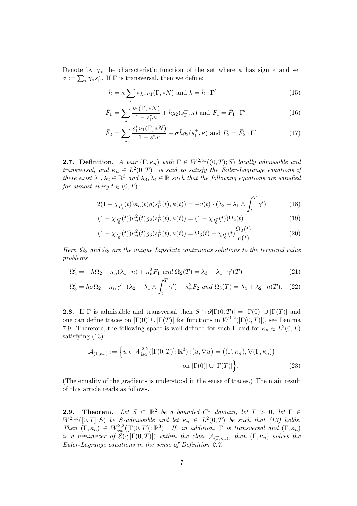Denote by  $\chi_*$  the characteristic function of the set where  $\kappa$  has sign  $*$  and set  $\sigma := \sum_{*} \chi_{*} s_{\Gamma}^{*}$ . If  $\Gamma$  is transversal, then we define:

$$
\bar{h} = \kappa \sum_{*} * \chi_{*} \nu_{1}(\Gamma, *N) \text{ and } h = \bar{h} \cdot \Gamma' \tag{15}
$$

$$
\bar{F}_1 = \sum_{\ast} \frac{\nu_1(\Gamma, \ast N)}{1 - s_{\Gamma}^{\ast} \kappa} + \bar{h}g_2(s_{\Gamma}^{\pm}, \kappa) \text{ and } F_1 = \bar{F}_1 \cdot \Gamma' \tag{16}
$$

$$
\bar{F}_2 = \sum_{*} \frac{s_{\Gamma}^* \nu_1(\Gamma, *N)}{1 - s_{\Gamma}^* \kappa} + \sigma \bar{h} g_2(s_{\Gamma}^{\pm}, \kappa) \text{ and } F_2 = \bar{F}_2 \cdot \Gamma'. \tag{17}
$$

**2.7.** Definition. A pair  $(\Gamma, \kappa_n)$  with  $\Gamma \in W^{2,\infty}((0,T); S)$  locally admissible and transversal, and  $\kappa_n \in L^2(0,T)$  is said to satisfy the Euler-Lagrange equations if there exist  $\lambda_1, \lambda_2 \in \mathbb{R}^3$  and  $\lambda_3, \lambda_4 \in \mathbb{R}$  such that the following equations are satisfied for almost every  $t \in (0, T)$ :

$$
2(1 - \chi_{I_0^{\Gamma}}(t))\kappa_n(t)g(s_{\Gamma}^{\pm}(t), \kappa(t)) = -v(t) \cdot (\lambda_2 - \lambda_1 \wedge \int_t^T \gamma') \tag{18}
$$

$$
(1 - \chi_{I_0^{\Gamma}}(t))\kappa_n^2(t)g_2(s_\Gamma^{\pm}(t), \kappa(t)) = (1 - \chi_{I_0^{\Gamma}}(t))\Omega_2(t)
$$
\n(19)

$$
(1 - \chi_{I_0^{\Gamma}}(t))\kappa_n^2(t)g_3(s_{\Gamma}^{\pm}(t), \kappa(t)) = \Omega_3(t) + \chi_{I_0^{\Gamma}}(t)\frac{\Omega_2(t)}{\kappa(t)}
$$
(20)

Here,  $\Omega_2$  and  $\Omega_3$  are the unique Lipschitz continuous solutions to the terminal value problems

$$
\Omega_2' = -h\Omega_2 + \kappa_n(\lambda_1 \cdot n) + \kappa_n^2 F_1 \text{ and } \Omega_2(T) = \lambda_3 + \lambda_1 \cdot \gamma'(T) \tag{21}
$$

$$
\Omega_3' = h\sigma \Omega_2 - \kappa_n \gamma' \cdot (\lambda_2 - \lambda_1 \wedge \int_t^T \gamma') - \kappa_n^2 F_2 \text{ and } \Omega_3(T) = \lambda_4 + \lambda_2 \cdot n(T). \tag{22}
$$

**2.8.** If  $\Gamma$  is admissible and transversal then  $S \cap \partial[\Gamma(0,T)] = [\Gamma(0)] \cup [\Gamma(T)]$  and one can define traces on  $[\Gamma(0)] \cup [\Gamma(T)]$  for functions in  $W^{1,2}([\Gamma(0,T)])$ , see Lemma 7.9. Therefore, the following space is well defined for such  $\Gamma$  and for  $\kappa_n \in L^2(0,T)$ satisfying (13):

$$
\mathcal{A}_{(\Gamma,\kappa_n)} := \left\{ u \in W_{\mathrm{iso}}^{2,2}([\Gamma(0,T)];\mathbb{R}^3) : (u,\nabla u) = ((\Gamma,\kappa_n),\nabla(\Gamma,\kappa_n)) \right\}
$$
  
on  $[\Gamma(0)] \cup [\Gamma(T)]$  (23)

(The equality of the gradients is understood in the sense of traces.) The main result of this article reads as follows.

**2.9.** Theorem. Let  $S \subset \mathbb{R}^2$  be a bounded  $C^1$  domain, let  $T > 0$ , let  $\Gamma \in$  $W^{2,\infty}([0,T];S)$  be S-admissible and let  $\kappa_n \in L^2(0,T)$  be such that (13) holds. Then  $(\Gamma, \kappa_n) \in W^{2,2}_{iso}([\Gamma(0,T)]; \mathbb{R}^3)$ . If, in addition,  $\Gamma$  is transversal and  $(\Gamma, \kappa_n)$ is a minimizer of  $\mathcal{E}(\cdot;[\Gamma(0,T)])$  within the class  $\mathcal{A}_{(\Gamma,\kappa_n)}$ , then  $(\Gamma,\kappa_n)$  solves the Euler-Lagrange equations in the sense of Definition 2.7.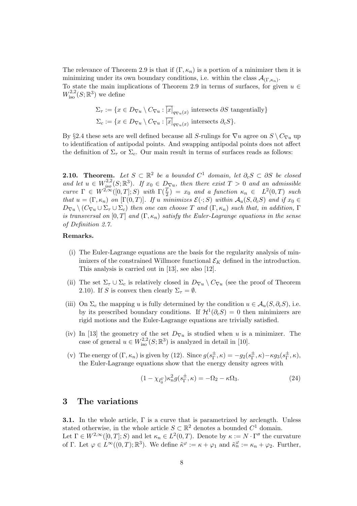The relevance of Theorem 2.9 is that if  $(\Gamma, \kappa_n)$  is a portion of a minimizer then it is minimizing under its own boundary conditions, i.e. within the class  $\mathcal{A}_{(\Gamma,\kappa_n)}$ . To state the main implications of Theorem 2.9 in terms of surfaces, for given  $u \in$  $W^{2,2}_{\text{iso}}(S;\mathbb{R}^3)$  we define

$$
\Sigma_{\tau} := \{ x \in D_{\nabla u} \setminus C_{\nabla u} : \overline{[x]}_{q_{\nabla u}(x)} \text{ intersects } \partial S \text{ tangentially} \}
$$
  

$$
\Sigma_c := \{ x \in D_{\nabla u} \setminus C_{\nabla u} : \overline{[x]}_{q_{\nabla u}(x)} \text{ intersects } \partial_c S \}.
$$

By §2.4 these sets are well defined because all S-rulings for  $\nabla u$  agree on  $S \setminus C_{\nabla u}$  up to identification of antipodal points. And swapping antipodal points does not affect the definition of  $\Sigma_{\tau}$  or  $\Sigma_c$ . Our main result in terms of surfaces reads as follows:

**2.10.** Theorem. Let  $S \subset \mathbb{R}^2$  be a bounded  $C^1$  domain, let  $\partial_c S \subset \partial S$  be closed and let  $u \in W^{2,2}_{iso}(S;\mathbb{R}^3)$ . If  $x_0 \in D_{\nabla u}$ , then there exist  $T > 0$  and an admissible curve  $\Gamma \in W^{2,\infty}([0,T];S)$  with  $\Gamma(\frac{T}{2}) = x_0$  and a function  $\kappa_n \in L^2(0,T)$  such that  $u = (\Gamma, \kappa_n)$  on  $[\Gamma(0,T)]$ . If u minimizes  $\mathcal{E}(\cdot; S)$  within  $\mathcal{A}_u(S, \partial_c S)$  and if  $x_0 \in$  $D_{\nabla u} \setminus (C_{\nabla u} \cup \Sigma_{\tau} \cup \Sigma_c)$  then one can choose T and  $(\Gamma, \kappa_n)$  such that, in addition,  $\Gamma$ is transversal on [0, T] and  $(\Gamma, \kappa_n)$  satisfy the Euler-Lagrange equations in the sense of Definition 2.7.

#### Remarks.

- (i) The Euler-Lagrange equations are the basis for the regularity analysis of minimizers of the constrained Willmore functional  $\mathcal{E}_K$  defined in the introduction. This analysis is carried out in [13], see also [12].
- (ii) The set  $\Sigma_{\tau} \cup \Sigma_c$  is relatively closed in  $D_{\nabla u} \setminus C_{\nabla u}$  (see the proof of Theorem 2.10). If S is convex then clearly  $\Sigma_{\tau} = \emptyset$ .
- (iii) On  $\Sigma_c$  the mapping u is fully determined by the condition  $u \in \mathcal{A}_u(S, \partial_c S)$ , i.e. by its prescribed boundary conditions. If  $\mathcal{H}^1(\partial_c S) = 0$  then minimizers are rigid motions and the Euler-Lagrange equations are trivially satisfied.
- (iv) In [13] the geometry of the set  $D_{\nabla u}$  is studied when u is a minimizer. The case of general  $u \in W^{2,2}_{\text{iso}}(S;\mathbb{R}^3)$  is analyzed in detail in [10].
- (v) The energy of  $(\Gamma, \kappa_n)$  is given by (12). Since  $g(s_{\Gamma}^{\pm})$  $_{\Gamma}^{\pm}$ ,  $\kappa$ ) =  $-g_2(s_{\Gamma}^{\pm})$  $_{\Gamma}^{\pm}$ ,  $\kappa$ ) –  $\kappa g_3(s_{\Gamma}^{\pm}$  $_{\Gamma}^{\pm},\kappa),$ the Euler-Lagrange equations show that the energy density agrees with

$$
(1 - \chi_{I_0^{\Gamma}}) \kappa_n^2 g(s_{\Gamma}^{\pm}, \kappa) = -\Omega_2 - \kappa \Omega_3. \tag{24}
$$

#### 3 The variations

**3.1.** In the whole article,  $\Gamma$  is a curve that is parametrized by arclength. Unless stated otherwise, in the whole article  $S \subset \mathbb{R}^2$  denotes a bounded  $C^1$  domain. Let  $\Gamma \in W^{2,\infty}([0,T];S)$  and let  $\kappa_n \in L^2(0,T)$ . Denote by  $\kappa := N \cdot \Gamma''$  the curvature of Γ. Let  $\varphi \in L^{\infty}((0,T);\mathbb{R}^3)$ . We define  $\tilde{\kappa}^{\varphi} := \kappa + \varphi_1$  and  $\tilde{\kappa}_n^{\varphi} := \kappa_n + \varphi_2$ . Further,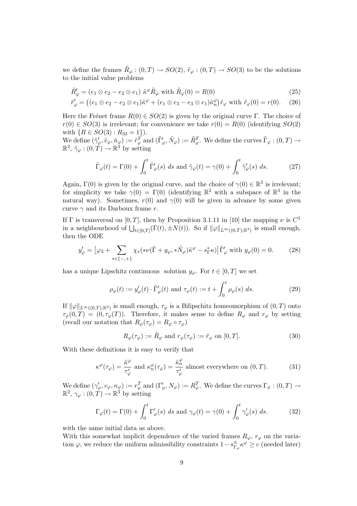we define the frames  $\tilde{R}_{\varphi} : (0,T) \to SO(2), \tilde{r}_{\varphi} : (0,T) \to SO(3)$  to be the solutions to the initial value problems

$$
\tilde{R}'_{\varphi} = (e_1 \otimes e_2 - e_2 \otimes e_1) \tilde{\kappa}^{\varphi} \tilde{R}_{\varphi} \text{ with } \tilde{R}_{\varphi}(0) = R(0)
$$
\n(25)

$$
\tilde{r}'_{\varphi} = ((e_1 \otimes e_2 - e_2 \otimes e_1)\tilde{\kappa}^{\varphi} + (e_1 \otimes e_3 - e_3 \otimes e_1)\tilde{\kappa}_n^{\varphi})\tilde{r}_{\varphi} \text{ with } \tilde{r}_{\varphi}(0) = r(0). \quad (26)
$$

Here the Frénet frame  $R(0) \in SO(2)$  is given by the original curve Γ. The choice of  $r(0) \in SO(3)$  is irrelevant; for convenience we take  $r(0) = R(0)$  (identifying  $SO(2)$ ) with  $\{R \in SO(3) : R_{33} = 1\}$ .

We define  $(\tilde{\gamma}'_{\varphi}, \tilde{v}_{\varphi}, \tilde{n}_{\varphi}) := \tilde{r}_{\varphi}^T$  and  $(\tilde{\Gamma}'_{\varphi}, \tilde{N}_{\varphi}) := \tilde{R}_{\varphi}^T$ . We define the curves  $\tilde{\Gamma}_{\varphi} : (0, T) \to$  $\mathbb{R}^2$ ,  $\tilde{\gamma}_{\varphi} : (0, T) \to \mathbb{R}^3$  by setting

$$
\tilde{\Gamma}_{\varphi}(t) = \Gamma(0) + \int_0^t \tilde{\Gamma}_{\varphi}'(s) \, ds \text{ and } \tilde{\gamma}_{\varphi}(t) = \gamma(0) + \int_0^t \tilde{\gamma}_{\varphi}'(s) \, ds. \tag{27}
$$

Again,  $\Gamma(0)$  is given by the original curve, and the choice of  $\gamma(0) \in \mathbb{R}^3$  is irrelevant; for simplicity we take  $\gamma(0) = \Gamma(0)$  (identifying  $\mathbb{R}^2$  with a subspace of  $\mathbb{R}^3$  in the natural way). Sometimes,  $r(0)$  and  $\gamma(0)$  will be given in advance by some given curve  $\gamma$  and its Darboux frame r.

If  $\Gamma$  is transversal on  $[0, T]$ , then by Proposition 3.1.11 in [10] the mapping  $\nu$  is  $C^1$ in a neighbourhood of  $\bigcup_{t\in[0,T]} (\Gamma(t), \pm N(t))$ . So if  $\|\varphi\|_{L^{\infty}((0,T);\mathbb{R}^3)}$  is small enough, then the ODE

$$
y'_{\varphi} = \left[\varphi_3 + \sum_{*\in\{-,+\}} \chi_*(*\nu(\tilde{\Gamma} + y_{\varphi}, *\tilde{N}_{\varphi})\tilde{\kappa}^{\varphi} - s_{\Gamma}^*\kappa)\right] \tilde{\Gamma}'_{\varphi} \text{ with } y_{\varphi}(0) = 0. \tag{28}
$$

has a unique Lipschitz continuous solution  $y_{\varphi}$ . For  $t \in [0, T]$  we set

$$
\rho_{\varphi}(t) := y_{\varphi}'(t) \cdot \tilde{\Gamma}_{\varphi}'(t) \text{ and } \tau_{\varphi}(t) := t + \int_0^t \rho_{\varphi}(s) ds. \tag{29}
$$

If  $\|\varphi\|_{L^{\infty}((0,T);\mathbb{R}^3)}$  is small enough,  $\tau_{\varphi}$  is a Bilipschitz homeomorphism of  $(0,T)$  onto  $\tau_{\varphi}(0,T) = (0,\tau_{\varphi}(T))$ . Therefore, it makes sense to define  $R_{\varphi}$  and  $r_{\varphi}$  by setting (recall our notation that  $R_{\varphi}(\tau_{\varphi}) = R_{\varphi} \circ \tau_{\varphi}$ )

$$
R_{\varphi}(\tau_{\varphi}) := \tilde{R}_{\varphi} \text{ and } r_{\varphi}(\tau_{\varphi}) := \tilde{r}_{\varphi} \text{ on } [0, T].
$$
\n(30)

With these definitions it is easy to verify that

$$
\kappa^{\varphi}(\tau_{\varphi}) = \frac{\tilde{\kappa}^{\varphi}}{\tau_{\varphi}'} \text{ and } \kappa_n^{\varphi}(\tau_{\varphi}) = \frac{\tilde{\kappa}_n^{\varphi}}{\tau_{\varphi}'} \text{ almost everywhere on } (0, T). \tag{31}
$$

We define  $(\gamma'_\varphi, v_\varphi, n_\varphi) := r_\varphi^T$  and  $(\Gamma'_\varphi, N_\varphi) := R_\varphi^T$ . We define the curves  $\Gamma_\varphi : (0, T) \to$  $\mathbb{R}^2$ ,  $\gamma_\varphi: (0, T) \to \mathbb{R}^3$  by setting

$$
\Gamma_{\varphi}(t) = \Gamma(0) + \int_0^t \Gamma_{\varphi}'(s) \, ds \text{ and } \gamma_{\varphi}(t) = \gamma(0) + \int_0^t \gamma_{\varphi}'(s) \, ds. \tag{32}
$$

with the same initial data as above.

With this somewhat implicit dependence of the varied frames  $R_{\varphi}$ ,  $r_{\varphi}$  on the variation  $\varphi$ , we reduce the uniform admissibility constraints  $1-s_{\Gamma}^{\pm}$  $\frac{\pm}{\Gamma_{\varphi}}\kappa^{\varphi} \geq c$  (needed later)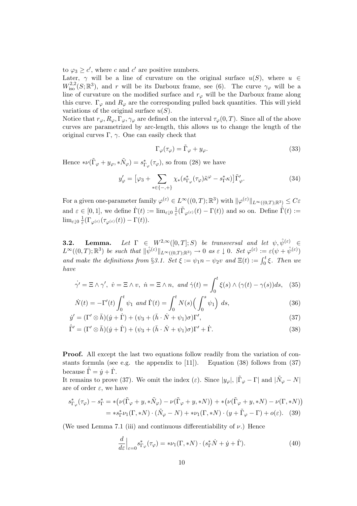to  $\varphi_3 \geq c'$ , where c and c' are positive numbers.

Later,  $\gamma$  will be a line of curvature on the original surface  $u(S)$ , where  $u \in$  $W^{2,2}_{\text{iso}}(S;\mathbb{R}^3)$ , and r will be its Darboux frame, see (6). The curve  $\gamma_{\varphi}$  will be a line of curvature on the modified surface and  $r_{\varphi}$  will be the Darboux frame along this curve.  $\Gamma_{\varphi}$  and  $R_{\varphi}$  are the corresponding pulled back quantities. This will yield variations of the original surface  $u(S)$ .

Notice that  $r_{\varphi}, R_{\varphi}, \Gamma_{\varphi}, \gamma_{\varphi}$  are defined on the interval  $\tau_{\varphi}(0,T)$ . Since all of the above curves are parametrized by arc-length, this allows us to change the length of the original curves Γ,  $\gamma$ . One can easily check that

$$
\Gamma_{\varphi}(\tau_{\varphi}) = \tilde{\Gamma}_{\varphi} + y_{\varphi}.
$$
\n(33)

Hence  $*\nu(\tilde{\Gamma}_{\varphi}+y_{\varphi},*\tilde{N}_{\varphi})=s^*_{\Gamma_{\varphi}}(\tau_{\varphi}),$  so from (28) we have

$$
y'_{\varphi} = \left[\varphi_3 + \sum_{*\in\{-,+\}} \chi_*(s^*_{\Gamma_{\varphi}}(\tau_{\varphi})\tilde{\kappa}^{\varphi} - s^*_{\Gamma}\kappa)\right]\tilde{\Gamma}'_{\varphi}.
$$
 (34)

For a given one-parameter family  $\varphi^{(\varepsilon)} \in L^{\infty}((0,T);\mathbb{R}^3)$  with  $\|\varphi^{(\varepsilon)}\|_{L^{\infty}((0,T);\mathbb{R}^3)} \leq C\varepsilon$ and  $\varepsilon \in [0,1]$ , we define  $\dot{\Gamma}(t) := \lim_{\varepsilon \downarrow 0} \frac{1}{\varepsilon} (\tilde{\Gamma}_{\varphi^{(\varepsilon)}}(t) - \Gamma(t))$  and so on. Define  $\dot{\Gamma}(t) :=$  $\lim_{\varepsilon \downarrow 0} \frac{1}{\varepsilon} (\Gamma_{\varphi^{(\varepsilon)}}(\tau_{\varphi^{(\varepsilon)}}(t)) - \Gamma(t)).$ 

**3.2.** Lemma. Let  $\Gamma \in W^{2,\infty}([0,T];S)$  be transversal and let  $\psi, \hat{\psi}^{(\varepsilon)} \in$  $L^{\infty}((0,T);\mathbb{R}^3)$  be such that  $\|\hat{\psi}^{(\varepsilon)}\|_{L^{\infty}((0,T);\mathbb{R}^3)} \to 0$  as  $\varepsilon \downarrow 0$ . Set  $\varphi^{(\varepsilon)} := \varepsilon(\psi + \hat{\psi}^{(\varepsilon)})$ and make the definitions from §3.1. Set  $\xi := \psi_1 n - \psi_2 v$  and  $\Xi(t) := \int_0^t \xi$ . Then we have

$$
\dot{\gamma'} = \Xi \wedge \gamma', \quad \dot{v} = \Xi \wedge v, \quad \dot{n} = \Xi \wedge n, \quad \text{and} \quad \dot{\gamma}(t) = \int_0^t \xi(s) \wedge (\gamma(t) - \gamma(s))ds, \quad (35)
$$

$$
\dot{N}(t) = -\Gamma'(t) \int_0^t \psi_1 \text{ and } \dot{\Gamma}(t) = \int_0^t N(s) \Big( \int_0^s \psi_1 \Big) ds,
$$
\n(36)

$$
\dot{y}' = (\Gamma' \otimes \bar{h})(\dot{y} + \dot{\Gamma}) + (\psi_3 + (\bar{h} \cdot \dot{N} + \psi_1)\sigma)\Gamma',\tag{37}
$$

$$
\dot{\Gamma}' = (\Gamma' \otimes \bar{h})(\dot{y} + \dot{\Gamma}) + (\psi_3 + (\bar{h} \cdot \dot{N} + \psi_1)\sigma)\Gamma' + \dot{\Gamma}.
$$
\n(38)

Proof. All except the last two equations follow readily from the variation of constants formula (see e.g. the appendix to  $[11]$ ). Equation (38) follows from (37) because  $\dot{\bar{\Gamma}} = \dot{y} + \dot{\Gamma}$ .

It remains to prove (37). We omit the index (*ε*). Since  $|y_{\varphi}|$ ,  $|\tilde{\Gamma}_{\varphi} - \Gamma|$  and  $|\tilde{N}_{\varphi} - N|$ are of order  $\varepsilon$ , we have

$$
s_{\Gamma_{\varphi}}^*(\tau_{\varphi}) - s_{\Gamma}^* = *(\nu(\tilde{\Gamma}_{\varphi} + y, * \tilde{N}_{\varphi}) - \nu(\tilde{\Gamma}_{\varphi} + y, * N)) + *(\nu(\tilde{\Gamma}_{\varphi} + y, * N) - \nu(\Gamma, * N))
$$
  
= 
$$
*s_{\Gamma}^*\nu_1(\Gamma, * N) \cdot (\tilde{N}_{\varphi} - N) + * \nu_1(\Gamma, * N) \cdot (y + \tilde{\Gamma}_{\varphi} - \Gamma) + o(\varepsilon).
$$
 (39)

(We used Lemma 7.1 (iii) and continuous differentiability of  $\nu$ .) Hence

$$
\frac{d}{d\varepsilon}\Big|_{\varepsilon=0} s_{\Gamma_{\varphi}}^*(\tau_{\varphi}) = * \nu_1(\Gamma, *N) \cdot (s_{\Gamma}^*\dot{N} + \dot{y} + \dot{\Gamma}).\tag{40}
$$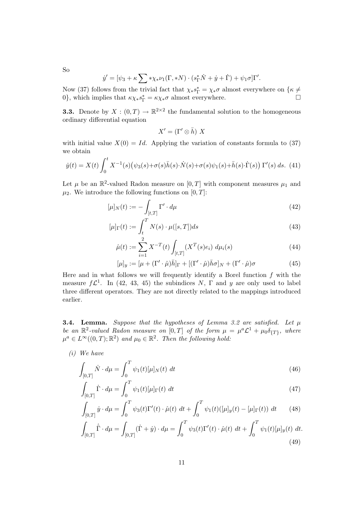So

$$
\dot{y}' = [\psi_3 + \kappa \sum * \chi_* \nu_1(\Gamma, *N) \cdot (s_{\Gamma}^* \dot{N} + \dot{y} + \dot{\Gamma}) + \psi_1 \sigma] \Gamma'.
$$

Now (37) follows from the trivial fact that  $\chi_* s_{\Gamma}^* = \chi_* \sigma$  almost everywhere on  $\{\kappa \neq \emptyset\}$ 0}, which implies that  $\kappa \chi_* s_{\Gamma}^* = \kappa \chi_* \sigma$  almost everywhere.

**3.3.** Denote by  $X : (0,T) \to \mathbb{R}^{2 \times 2}$  the fundamental solution to the homogeneous ordinary differential equation

$$
X' = (\Gamma' \otimes \bar{h}) X
$$

with initial value  $X(0) = Id$ . Applying the variation of constants formula to (37) we obtain

$$
\dot{y}(t) = X(t) \int_0^t X^{-1}(s) (\psi_3(s) + \sigma(s)\bar{h}(s) \cdot \dot{N}(s) + \sigma(s)\psi_1(s) + \bar{h}(s) \cdot \dot{\Gamma}(s)) \Gamma'(s) ds. (41)
$$

Let  $\mu$  be an  $\mathbb{R}^2$ -valued Radon measure on  $[0,T]$  with component measures  $\mu_1$  and  $\mu_2$ . We introduce the following functions on [0, T]:

$$
[\mu]_N(t) := -\int_{[t,T]} \Gamma' \cdot d\mu \tag{42}
$$

$$
[\mu]_{\Gamma}(t) := \int_{t}^{T} N(s) \cdot \mu([s,T]) ds \tag{43}
$$

$$
\hat{\mu}(t) := \sum_{i=1}^{2} X^{-T}(t) \int_{[t,T]} (X^{T}(s)e_i) d\mu_i(s)
$$
\n(44)

$$
[\mu]_y := [\mu + (\Gamma' \cdot \hat{\mu})\bar{h}]_{\Gamma} + [(\Gamma' \cdot \hat{\mu})\bar{h}\sigma]_{N} + (\Gamma' \cdot \hat{\mu})\sigma \tag{45}
$$

Here and in what follows we will frequently identify a Borel function  $f$  with the measure  $f\mathcal{L}^1$ . In (42, 43, 45) the subindices N,  $\Gamma$  and y are only used to label three different operators. They are not directly related to the mappings introduced earlier.

**3.4. Lemma.** Suppose that the hypotheses of Lemma 3.2 are satisfied. Let  $\mu$ be an  $\mathbb{R}^2$ -valued Radon measure on  $[0,T]$  of the form  $\mu = \mu^a \mathcal{L}^1 + \mu_0 \delta_{\lbrace T \rbrace}$ , where  $\mu^a \in L^{\infty}((0,T);\mathbb{R}^2)$  and  $\mu_0 \in \mathbb{R}^2$ . Then the following hold:

(i) We have

$$
\int_{[0,T]} \dot{N} \cdot d\mu = \int_0^T \psi_1(t) [\mu]_N(t) dt \tag{46}
$$

$$
\int_{[0,T]} \dot{\Gamma} \cdot d\mu = \int_0^T \psi_1(t) [\mu]_{\Gamma}(t) dt \qquad (47)
$$

$$
\int_{[0,T]} \dot{y} \cdot d\mu = \int_0^T \psi_3(t) \Gamma'(t) \cdot \hat{\mu}(t) dt + \int_0^T \psi_1(t) ([\mu]_y(t) - [\mu]_{\Gamma}(t)) dt \qquad (48)
$$

$$
\int_{[0,T]} \dot{\Gamma} \cdot d\mu = \int_{[0,T]} (\dot{\Gamma} + \dot{y}) \cdot d\mu = \int_0^T \psi_3(t) \Gamma'(t) \cdot \hat{\mu}(t) dt + \int_0^T \psi_1(t) [\mu]_y(t) dt.
$$
\n(49)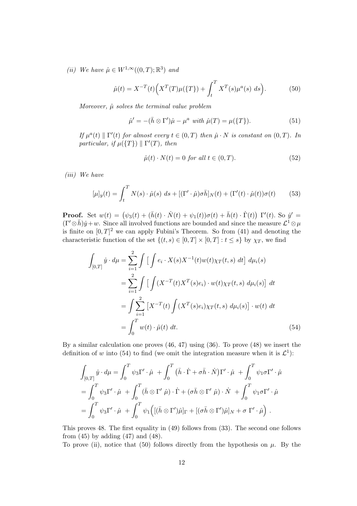(ii) We have  $\hat{\mu} \in W^{1,\infty}((0,T);\mathbb{R}^3)$  and

$$
\hat{\mu}(t) = X^{-T}(t) \Big( X^{T}(T) \mu(\{T\}) + \int_{t}^{T} X^{T}(s) \mu^{a}(s) \ ds \Big). \tag{50}
$$

Moreover,  $\hat{\mu}$  solves the terminal value problem

$$
\hat{\mu}' = -(\bar{h} \otimes \Gamma')\hat{\mu} - \mu^a \text{ with } \hat{\mu}(T) = \mu(\lbrace T \rbrace). \tag{51}
$$

If  $\mu^a(t) \parallel \Gamma'(t)$  for almost every  $t \in (0,T)$  then  $\hat{\mu} \cdot N$  is constant on  $(0,T)$ . In particular, if  $\mu({T}) \parallel \Gamma'(T)$ , then

$$
\hat{\mu}(t) \cdot N(t) = 0 \text{ for all } t \in (0, T). \tag{52}
$$

(iii) We have

$$
[\mu]_y(t) = \int_t^T N(s) \cdot \hat{\mu}(s) \ ds + [(\Gamma' \cdot \hat{\mu}) \sigma \bar{h}]_N(t) + (\Gamma'(t) \cdot \hat{\mu}(t)) \sigma(t) \tag{53}
$$

**Proof.** Set  $w(t) = (\psi_3(t) + (\bar{h}(t) \cdot \dot{N}(t) + \psi_1(t))\sigma(t) + \bar{h}(t) \cdot \dot{\Gamma}(t)) \Gamma'(t)$ . So  $\dot{y}' =$  $(\Gamma' \otimes \bar{h}) \dot{y} + w$ . Since all involved functions are bounded and since the measure  $\mathcal{L}^1 \otimes \mu$ is finite on  $[0, T]^2$  we can apply Fubini's Theorem. So from (41) and denoting the characteristic function of the set  $\{(t,s) \in [0,T] \times [0,T] : t \leq s\}$  by  $\chi_T$ , we find

$$
\int_{[0,T]} \dot{y} \cdot d\mu = \sum_{i=1}^{2} \int \left[ \int e_i \cdot X(s) X^{-1}(t) w(t) \chi_T(t, s) \, dt \right] \, d\mu_i(s)
$$
\n
$$
= \sum_{i=1}^{2} \int \left[ \int (X^{-T}(t) X^{T}(s) e_i) \cdot w(t) \chi_T(t, s) \, d\mu_i(s) \right] \, dt
$$
\n
$$
= \int \sum_{i=1}^{2} \left[ X^{-T}(t) \int (X^{T}(s) e_i) \chi_T(t, s) \, d\mu_i(s) \right] \cdot w(t) \, dt
$$
\n
$$
= \int_0^T w(t) \cdot \hat{\mu}(t) \, dt. \tag{54}
$$

By a similar calculation one proves (46, 47) using (36). To prove (48) we insert the definition of w into (54) to find (we omit the integration measure when it is  $\mathcal{L}^1$ ):

$$
\int_{[0,T]} \dot{y} \cdot d\mu = \int_0^T \psi_3 \Gamma' \cdot \hat{\mu} + \int_0^T (\bar{h} \cdot \dot{\Gamma} + \sigma \bar{h} \cdot \dot{N}) \Gamma' \cdot \hat{\mu} + \int_0^T \psi_1 \sigma \Gamma' \cdot \hat{\mu}
$$
  
= 
$$
\int_0^T \psi_3 \Gamma' \cdot \hat{\mu} + \int_0^T (\bar{h} \otimes \Gamma' \hat{\mu}) \cdot \dot{\Gamma} + (\sigma \bar{h} \otimes \Gamma' \hat{\mu}) \cdot \dot{N} + \int_0^T \psi_1 \sigma \Gamma' \cdot \hat{\mu}
$$
  
= 
$$
\int_0^T \psi_3 \Gamma' \cdot \hat{\mu} + \int_0^T \psi_1 \Big( [(\bar{h} \otimes \Gamma') \hat{\mu}]_{\Gamma} + [(\sigma \bar{h} \otimes \Gamma') \hat{\mu}]_{N} + \sigma \Gamma' \cdot \hat{\mu} \Big).
$$

This proves 48. The first equality in (49) follows from (33). The second one follows from  $(45)$  by adding  $(47)$  and  $(48)$ .

To prove (ii), notice that (50) follows directly from the hypothesis on  $\mu$ . By the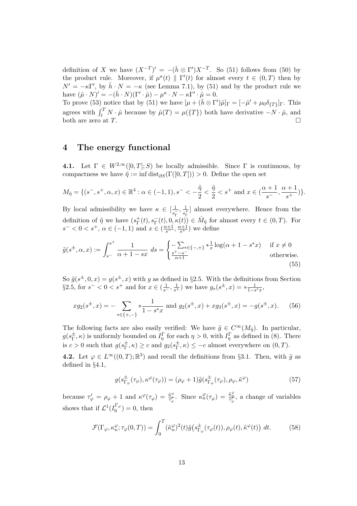definition of X we have  $(X^{-T})' = -(\bar{h} \otimes \Gamma')X^{-T}$ . So (51) follows from (50) by the product rule. Moreover, if  $\mu^{a}(t) \parallel \Gamma'(t)$  for almost every  $t \in (0, T)$  then by  $N' = -\kappa \Gamma'$ , by  $\bar{h} \cdot N = -\kappa$  (see Lemma 7.1), by (51) and by the product rule we have  $(\hat{\mu} \cdot N)' = -(\bar{h} \cdot N)(\Gamma' \cdot \hat{\mu}) - \mu^a \cdot N - \kappa \Gamma' \cdot \hat{\mu} = 0.$ 

To prove (53) notice that by (51) we have  $[\mu + (\bar{h} \otimes \Gamma')\hat{\mu}]_{\Gamma} = [-\hat{\mu}' + \mu_0 \delta_{\{T\}}]_{\Gamma}$ . This agrees with  $\int_t^T N \cdot \hat{\mu}$  because by  $\hat{\mu}(T) = \mu(\lbrace T \rbrace)$  both have derivative  $-N \cdot \hat{\mu}$ , and both are zero at  $T$ .

### 4 The energy functional

4.1. Let  $\Gamma \in W^{2,\infty}([0,T];S)$  be locally admissible. Since  $\Gamma$  is continuous, by compactness we have  $\tilde{\eta} := \inf \text{dist}_{\partial S}(\Gamma([0,T])) > 0$ . Define the open set

$$
M_{\tilde{\eta}} = \{ (s^-, s^+, \alpha, x) \in \mathbb{R}^4 : \alpha \in (-1, 1), s^- < -\frac{\tilde{\eta}}{2} < \frac{\tilde{\eta}}{2} < s^+ \text{ and } x \in (\frac{\alpha+1}{s^-}, \frac{\alpha+1}{s^+}) \}.
$$

By local admissibility we have  $\kappa \in \left[\frac{1}{\epsilon}\right]$  $\frac{1}{s_{\Gamma}^{-}}, \frac{1}{s_{\Gamma}^{+}}$  $\frac{1}{s_{\Gamma}^{+}}$  almost everywhere. Hence from the definition of  $\tilde{\eta}$  we have  $(s_{\Gamma}^+)$  $(\Gamma^+(t), s_\Gamma^-(t), 0, \kappa(t)) \in \bar{M}_{\tilde{\eta}}$  for almost every  $t \in (0, T)$ . For  $s^{-} < 0 < s^{+}$ ,  $\alpha \in (-1, 1)$  and  $x \in (\frac{\alpha+1}{s^{-}}, \frac{\alpha+1}{s^{+}})$  we define

$$
\tilde{g}(s^{\pm}, \alpha, x) := \int_{s^-}^{s^+} \frac{1}{\alpha + 1 - sx} \, ds = \begin{cases} -\sum_{\substack{s^+ = s^- \\ \alpha + 1}} \frac{1}{s^{\pm} - s^-} \\ \frac{s^+ - s^-}{\alpha + 1} \end{cases} \quad \text{if } x \neq 0 \text{ otherwise.}
$$
\n(55)

So  $\tilde{g}(s^{\pm},0,x) = g(s^{\pm},x)$  with g as defined in §2.5. With the definitions from Section §2.5, for  $s^- < 0 < s^+$  and for  $x \in (\frac{1}{s^-}, \frac{1}{s^+})$  we have  $g_*(s^{\pm}, x) = * \frac{1}{1-s^*x}$ ,

$$
xg_2(s^{\pm},x) = -\sum_{*\in\{+,-\}} \ast \frac{1}{1-s^*x} \text{ and } g_2(s^{\pm},x) + xg_3(s^{\pm},x) = -g(s^{\pm},x). \tag{56}
$$

The following facts are also easily verified: We have  $\tilde{g} \in C^{\infty}(M_{\tilde{n}})$ . In particular,  $g(s_\Gamma^\pm$  $T_{\Gamma}^{\pm}$ ,  $\kappa$ ) is uniformly bounded on  $I_{\eta}^{\Gamma}$  for each  $\eta > 0$ , with  $I_{\eta}^{\Gamma}$  as defined in (8). There is  $c > 0$  such that  $g(s_{\Gamma}^{\pm})$  $(\frac{\pm}{\Gamma}, \kappa) \geq c$  and  $g_2(s_{\Gamma}^{\pm})$  $(\frac{\pm}{\Gamma}, \kappa) \leq -c$  almost everywhere on  $(0, T)$ .

**4.2.** Let  $\varphi \in L^{\infty}((0,T);\mathbb{R}^3)$  and recall the definitions from §3.1. Then, with  $\tilde{g}$  as defined in §4.1,

$$
g(s_{\Gamma_{\varphi}}^{\pm}(\tau_{\varphi}), \kappa^{\varphi}(\tau_{\varphi})) = (\rho_{\varphi} + 1)\tilde{g}(s_{\Gamma_{\varphi}}^{\pm}(\tau_{\varphi}), \rho_{\varphi}, \tilde{\kappa}^{\varphi})
$$
(57)

because  $\tau'_{\varphi} = \rho_{\varphi} + 1$  and  $\kappa^{\varphi}(\tau_{\varphi}) = \frac{\tilde{\kappa}^{\varphi}}{\tilde{\tau}'_{\varphi}}$  $\frac{\tilde{\kappa}^{\varphi}}{\tau'_{\varphi}}$ . Since  $\kappa_n^{\varphi}(\tau_{\varphi}) = \frac{\tilde{\kappa}_n^{\varphi}}{\tau'_{\varphi}}$ , a change of variables shows that if  $\mathcal{L}^1(I_0^{\Gamma_{\varphi}})$  $\binom{1}{0}$  = 0, then

$$
\mathcal{F}(\Gamma_{\varphi}, \kappa_n^{\varphi}; \tau_{\varphi}(0, T)) = \int_0^T (\tilde{\kappa}_n^{\varphi})^2(t) \tilde{g}\big(s_{\Gamma_{\varphi}}^{\pm}(\tau_{\varphi}(t)), \rho_{\varphi}(t), \tilde{\kappa}^{\varphi}(t)\big) dt. \tag{58}
$$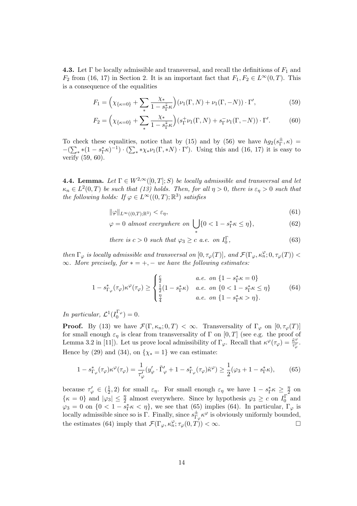**4.3.** Let Γ be locally admissible and transversal, and recall the definitions of  $F_1$  and  $F_2$  from (16, 17) in Section 2. It is an important fact that  $F_1, F_2 \in L^{\infty}(0,T)$ . This is a consequence of the equalities

$$
F_1 = \left(\chi_{\{\kappa=0\}} + \sum_{*} \frac{\chi_*}{1 - s_{\Gamma}^* \kappa}\right) (\nu_1(\Gamma, N) + \nu_1(\Gamma, -N)) \cdot \Gamma',\tag{59}
$$

$$
F_2 = \left(\chi_{\{\kappa=0\}} + \sum_{*} \frac{\chi_*}{1 - s_{\Gamma}^{\bar{*}} \kappa}\right) \left(s_{\Gamma}^+ \nu_1(\Gamma, N) + s_{\Gamma}^- \nu_1(\Gamma, -N)\right) \cdot \Gamma'.\tag{60}
$$

To check these equalities, notice that by (15) and by (56) we have  $hg_2(s^{\pm}_{\Gamma})$  $_{\Gamma}^{\pm},\kappa)$  =  $-(\sum_{*}*(1-s_{\Gamma}^{*}\kappa)^{-1})\cdot(\sum_{*}*\chi_{*}\nu_{1}(\Gamma,*N)\cdot\Gamma').$  Using this and (16, 17) it is easy to verify (59, 60).

**4.4. Lemma.** Let  $\Gamma \in W^{2,\infty}([0,T]; S)$  be locally admissible and transversal and let  $\kappa_n \in L^2(0,T)$  be such that (13) holds. Then, for all  $\eta > 0$ , there is  $\varepsilon_\eta > 0$  such that the following holds: If  $\varphi \in L^{\infty}((0,T);\mathbb{R}^3)$  satisfies

$$
\|\varphi\|_{L^{\infty}((0,T);\mathbb{R}^3)} < \varepsilon_{\eta},\tag{61}
$$

$$
\varphi = 0 \text{ almost everywhere on } \bigcup_{\ast} \{0 < 1 - s_{\Gamma}^{\ast} \kappa \le \eta\},\tag{62}
$$

there is  $c > 0$  such that  $\varphi_3 \geq c$  a.e. on  $I_0^{\Gamma}$  $(63)$ 

then  $\Gamma_{\varphi}$  is locally admissible and transversal on  $[0, \tau_{\varphi}(T)],$  and  $\mathcal{F}(\Gamma_{\varphi}, \kappa_n^{\varphi}; 0, \tau_{\varphi}(T))$  <  $\infty$ . More precisely, for  $* = +, -$  we have the following estimates:

$$
1 - s_{\Gamma_{\varphi}}^*(\tau_{\varphi})\kappa^{\varphi}(\tau_{\varphi}) \ge \begin{cases} \frac{c}{2} & a.e. \text{ on } \{1 - s_{\Gamma}^*\kappa = 0\} \\ \frac{1}{2}(1 - s_{\Gamma}^*\kappa) & a.e. \text{ on } \{0 < 1 - s_{\Gamma}^*\kappa \le \eta\} \\ \frac{\eta}{4} & a.e. \text{ on } \{1 - s_{\Gamma}^*\kappa > \eta\}. \end{cases} \tag{64}
$$

In particular,  $\mathcal{L}^1(I_0^{\Gamma_{\varphi}})$  $j_0^{\mu\varphi})=0.$ 

**Proof.** By (13) we have  $\mathcal{F}(\Gamma,\kappa_n;0,T) < \infty$ . Transversality of  $\Gamma_{\varphi}$  on  $[0,\tau_{\varphi}(T)]$ for small enough  $\varepsilon_n$  is clear from transversality of Γ on [0, T] (see e.g. the proof of Lemma 3.2 in [11]). Let us prove local admissibility of  $\Gamma_{\varphi}$ . Recall that  $\kappa^{\varphi}(\tau_{\varphi}) = \frac{\tilde{\kappa}^{\varphi}}{\tau'}$  $\frac{\kappa^\varphi}{\tau_\varphi^\prime}.$ Hence by (29) and (34), on  $\{\chi_* = 1\}$  we can estimate:

$$
1 - s_{\Gamma_{\varphi}}^*(\tau_{\varphi})\kappa^{\varphi}(\tau_{\varphi}) = \frac{1}{\tau_{\varphi}'}(y_{\varphi}' \cdot \tilde{\Gamma}_{\varphi}' + 1 - s_{\Gamma_{\varphi}}^*(\tau_{\varphi})\tilde{\kappa}^{\varphi}) \ge \frac{1}{2}(\varphi_3 + 1 - s_{\Gamma}^*\kappa),\tag{65}
$$

because  $\tau_{\varphi}' \in (\frac{1}{2})$  $(\frac{1}{2},2)$  for small  $\varepsilon_{\eta}$ . For small enough  $\varepsilon_{\eta}$  we have  $1-s_{\Gamma}^*\kappa \geq \frac{\eta}{2}$  $\frac{\eta}{2}$  on  $\{\kappa = 0\}$  and  $|\varphi_3| \leq \frac{\eta}{2}$  almost everywhere. Since by hypothesis  $\varphi_3 \geq c$  on  $I_0^{\Gamma}$  and  $\varphi_3 = 0$  on  $\{0 < 1 - s_\Gamma^* \kappa < \eta\}$ , we see that (65) implies (64). In particular,  $\Gamma_\varphi$  is locally admissible since so is Γ. Finally, since  $s_{\Gamma}^{\pm}$  $\frac{\pm}{\Gamma_{\varphi}} \kappa^{\varphi}$  is obviously uniformly bounded, the estimates (64) imply that  $\mathcal{F}(\Gamma_{\varphi}, \kappa_n^{\varphi}; \tau_{\varphi}(0, T)) < \infty$ .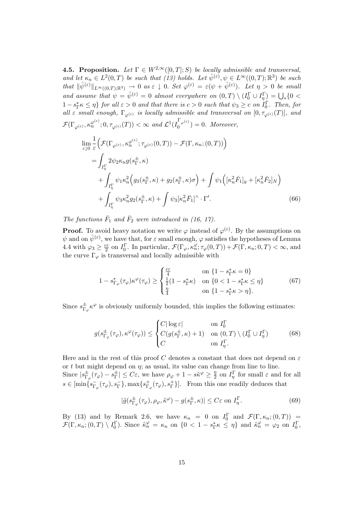**4.5. Proposition.** Let  $\Gamma \in W^{2,\infty}([0,T];S)$  be locally admissible and transversal, and let  $\kappa_n \in L^2(0,T)$  be such that (13) holds. Let  $\hat{\psi}^{(\varepsilon)}, \psi \in L^{\infty}((0,T);\mathbb{R}^3)$  be such that  $\|\hat{\psi}^{(\varepsilon)}\|_{L^{\infty}((0,T);\mathbb{R}^3)} \to 0$  as  $\varepsilon \downarrow 0$ . Set  $\varphi^{(\varepsilon)} = \varepsilon(\psi + \hat{\psi}^{(\varepsilon)})$ . Let  $\eta > 0$  be small and assume that  $\psi = \hat{\psi}^{(\varepsilon)} = 0$  almost everywhere on  $(0,T) \setminus (I_0^{\Gamma} \cup I_{\eta}^{\Gamma}) = \bigcup_{*} \{0 \leq \eta \leq \varepsilon \}$  $1-s_{\Gamma}^*\kappa \leq \eta$  for all  $\varepsilon > 0$  and that there is  $c > 0$  such that  $\psi_3 \geq c$  on  $I_0^{\Gamma}$ . Then, for all  $\epsilon$  small enough,  $\Gamma_{\varphi^{(\varepsilon)}}$  is locally admissible and transversal on  $[0, \tau_{\varphi^{(\varepsilon)}}(T)]$ , and  $\mathcal{F}(\Gamma_{\varphi^{(\varepsilon)}}, \kappa_n^{\varphi^{(\varepsilon)}}; 0, \tau_{\varphi^{(\varepsilon)}}(T)) < \infty \text{ and } \mathcal{L}^1(I_0^{\Gamma_{\varphi^{(\varepsilon)}}})$  $\binom{\varphi^{(e)}}{0} = 0$ . Moreover,

$$
\lim_{\varepsilon \downarrow 0} \frac{1}{\varepsilon} \Big( \mathcal{F}(\Gamma_{\varphi^{(\varepsilon)}}, \kappa_n^{\varphi^{(\varepsilon)}}; \tau_{\varphi^{(\varepsilon)}}(0, T)) - \mathcal{F}(\Gamma, \kappa_n; (0, T)) \Big) \n= \int_{I_{\eta}^{\Gamma}} 2\psi_2 \kappa_n g(s_{\Gamma}^{\pm}, \kappa) \n+ \int_{I_{\eta}^{\Gamma}} \psi_1 \kappa_n^2 \Big( g_3(s_{\Gamma}^{\pm}, \kappa) + g_2(s_{\Gamma}^{\pm}, \kappa) \sigma \Big) + \int \psi_1 \Big( [\kappa_n^2 \bar{F}_1]_y + [\kappa_n^2 \bar{F}_2]_N \Big) \n+ \int_{I_{\eta}^{\Gamma}} \psi_3 \kappa_n^2 g_2(s_{\Gamma}^{\pm}, \kappa) + \int \psi_3 [\kappa_n^2 \bar{F}_1]^{\wedge} \cdot \Gamma'. \tag{66}
$$

The functions  $\bar{F}_1$  and  $\bar{F}_2$  were introduced in (16, 17).

**Proof.** To avoid heavy notation we write  $\varphi$  instead of  $\varphi^{(\varepsilon)}$ . By the assumptions on  $\psi$  and on  $\hat{\psi}^{(\varepsilon)}$ , we have that, for  $\varepsilon$  small enough,  $\varphi$  satisfies the hypotheses of Lemma 4.4 with  $\varphi_3 \geq \frac{c\varepsilon}{2}$  $\frac{2\varepsilon}{2}$  on  $I_0^{\Gamma}$ . In particular,  $\mathcal{F}(\Gamma_{\varphi}, \kappa_n^{\varphi}; \tau_{\varphi}(0,T)) + \mathcal{F}(\Gamma, \kappa_n; 0, T) < \infty$ , and the curve  $\Gamma_{\varphi}$  is transversal and locally admissible with

$$
1 - s_{\Gamma_{\varphi}}^*(\tau_{\varphi})\kappa^{\varphi}(\tau_{\varphi}) \ge \begin{cases} \frac{c\varepsilon}{4} & \text{on } \{1 - s_{\Gamma}^*\kappa = 0\} \\ \frac{1}{2}(1 - s_{\Gamma}^*\kappa) & \text{on } \{0 < 1 - s_{\Gamma}^*\kappa \le \eta\} \\ \frac{\eta}{4} & \text{on } \{1 - s_{\Gamma}^*\kappa > \eta\}. \end{cases} \tag{67}
$$

Since  $s_{\Gamma}^{\pm}$  $\frac{1}{\Gamma_{\varphi}}\kappa^{\varphi}$  is obviously uniformly bounded, this implies the following estimates:

$$
g(s_{\Gamma_{\varphi}}^{\pm}(\tau_{\varphi}), \kappa^{\varphi}(\tau_{\varphi})) \leq \begin{cases} C|\log \varepsilon| & \text{on } I_0^{\Gamma} \\ C(g(s_{\Gamma}^{\pm}, \kappa) + 1) & \text{on } (0, T) \setminus (I_0^{\Gamma} \cup I_{\eta}^{\Gamma}) \\ C & \text{on } I_{\eta}^{\Gamma}. \end{cases}
$$
(68)

Here and in the rest of this proof C denotes a constant that does not depend on  $\varepsilon$ or t but might depend on  $\eta$ ; as usual, its value can change from line to line. Since  $|s_{\Gamma}^{\pm}|$  $_{\Gamma_\varphi}^{\pm}(\tau_\varphi)-s_\Gamma^{\pm}$  $\frac{\pm}{\Gamma}$   $\leq C\varepsilon$ , we have  $\rho_{\varphi} + 1 - s\tilde{\kappa}^{\varphi} \geq \frac{\eta}{2}$  $\frac{\eta}{2}$  on  $I_{\eta}^{\Gamma}$  for small  $\varepsilon$  and for all  $s \in [\min\{s_{\Gamma}^-]$  $^{-}_{\Gamma_{\varphi}}(\tau_{\varphi}),s^{-}_{\Gamma}\},\max\{s^{+}_{\Gamma_{\varphi}}$  ${}_{\Gamma_{\varphi}}^{+}(\tau_{\varphi}), s_{\Gamma}^{+}$ ]. From this one readily deduces that

$$
|\tilde{g}(s_{\Gamma_{\varphi}}^{\pm}(\tau_{\varphi}), \rho_{\varphi}, \tilde{\kappa}^{\varphi}) - g(s_{\Gamma}^{\pm}, \kappa)| \le C\varepsilon \text{ on } I_{\eta}^{\Gamma}.
$$
 (69)

By (13) and by Remark 2.6, we have  $\kappa_n = 0$  on  $I_0^{\Gamma}$  and  $\mathcal{F}(\Gamma, \kappa_n; (0,T)) =$  $\mathcal{F}(\Gamma,\kappa_n;(0,T)\setminus I_0^{\Gamma})$ . Since  $\tilde{\kappa}_n^{\varphi} = \kappa_n$  on  $\{0 < 1 - s_{\Gamma}^*\kappa \leq \eta\}$  and  $\tilde{\kappa}_n^{\varphi} = \varphi_2$  on  $I_0^{\Gamma}$ ,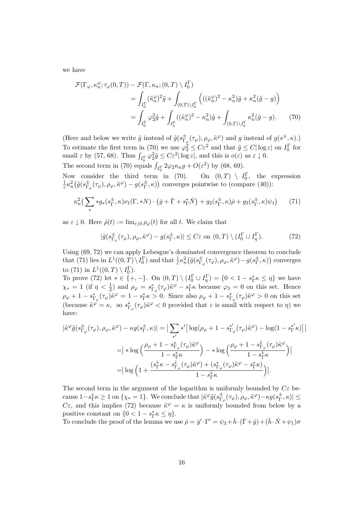we have

$$
\mathcal{F}(\Gamma_{\varphi}, \kappa_n^{\varphi}; \tau_{\varphi}(0, T)) - \mathcal{F}(\Gamma, \kappa_n; (0, T) \setminus I_0^{\Gamma})
$$
\n
$$
= \int_{I_0^{\Gamma}} (\tilde{\kappa}_n^{\varphi})^2 \tilde{g} + \int_{(0, T) \setminus I_0^{\Gamma}} \left( ((\tilde{\kappa}_n^{\varphi})^2 - \kappa_n^2) \tilde{g} + \kappa_n^2 (\tilde{g} - g) \right)
$$
\n
$$
= \int_{I_0^{\Gamma}} \varphi_2^2 \tilde{g} + \int_{I_{\eta}^{\Gamma}} ((\tilde{\kappa}_n^{\varphi})^2 - \kappa_n^2) \tilde{g} + \int_{(0, T) \setminus I_0^{\Gamma}} \kappa_n^2 (\tilde{g} - g). \tag{70}
$$

(Here and below we write  $\tilde{g}$  instead of  $\tilde{g}(s_{\Gamma}^{\pm})$  $^{\pm}_{\Gamma_{\varphi}}(\tau_{\varphi}), \rho_{\varphi}, \tilde{\kappa}^{\varphi})$  and g instead of  $g(s^{\pm}, \kappa)$ .) To estimate the first term in (70) we use  $\varphi_2^2 \leq C \varepsilon^2$  and that  $\tilde{g} \leq C |\log \varepsilon|$  on  $I_0^{\Gamma}$  for small  $\varepsilon$  by (57, 68). Thus  $\int_{I_0^{\Gamma}} \varphi_2^2 \tilde{g} \leq C \varepsilon^2 |\log \varepsilon|$ , and this is  $o(\varepsilon)$  as  $\varepsilon \downarrow 0$ . The second term in (70) equals  $\int_{I_{\eta}^{\Gamma}} 2\varphi_2 \kappa_n g + O(\varepsilon^2)$  by (68, 69).

Now consider the third term in (70). On  $(0,T) \setminus I_0^{\Gamma}$ , the expression  $\frac{1}{\varepsilon} \kappa_n^2 \big( \tilde{g} (s_{\Gamma_\delta}^\pm$  $_{\Gamma_\varphi}^{\pm}(\tau_\varphi),\rho_\varphi,\tilde{\kappa}^\varphi)-g(s_\Gamma^{\pm}% )\sqrt{\frac{\pi}{\pi}}\int_{0}^{\Gamma_\varphi}f(\tau,\zeta)G(\tau)d\zeta, \label{eq:3.14}%$  $(\pm, \kappa)$  converges pointwise to (compare (40)):

$$
\kappa_n^2 \left( \sum_* *g_*(s_\Gamma^\pm, \kappa)\nu_1(\Gamma, *N) \cdot \left( \dot{y} + \dot{\Gamma} + s_\Gamma^* \dot{N} \right) + g_2(s_\Gamma^\pm, \kappa)\dot{\rho} + g_3(s_\Gamma^\pm, \kappa)\psi_1 \right) \tag{71}
$$

as  $\varepsilon \downarrow 0$ . Here  $\dot{\rho}(t) := \lim_{\varepsilon \downarrow 0} \rho_{\varphi}(t)$  for all t. We claim that

$$
|\tilde{g}(s_{\Gamma_{\varphi}}^{\pm}(\tau_{\varphi}), \rho_{\varphi}, \tilde{\kappa}^{\varphi}) - g(s_{\Gamma}^{\pm}, \kappa)| \le C\varepsilon \text{ on } (0, T) \setminus (I_0^{\Gamma} \cup I_{\eta}^{\Gamma}). \tag{72}
$$

Using (69, 72) we can apply Lebesgue's dominated convergence theorem to conclude that (71) lies in  $L^1((0,T)\setminus I_0^{\Gamma})$  and that  $\frac{1}{\varepsilon} \kappa_n^2(\tilde{g}(s_{\Gamma_0}^{\pm})$  $_{\Gamma_\varphi}^{\pm}(\tau_\varphi),\rho_\varphi,\tilde{\kappa}^\varphi)$  —  $g(s_\Gamma^{\pm}$  $(\frac{\pm}{\Gamma}, \kappa)$  converges to (71) in  $L^1((0,T) \setminus I_0^{\Gamma})$ .

To prove (72) let  $* \in \{+, -\}$ . On  $(0, T) \setminus (I_0^{\Gamma} \cup I_{\eta}^{\Gamma}) = \{0 < 1 - s_{\Gamma}^* \kappa \leq \eta\}$  we have  $\chi_* = 1$  (if  $\eta < \frac{1}{2}$ ) and  $\rho_\varphi = s_{\Gamma_\varphi}^*(\tau_\varphi)\tilde{\kappa}^\varphi - s_{\Gamma}^*\kappa$  because  $\varphi_3 = 0$  on this set. Hence  $\rho_{\varphi} + 1 - s_{\Gamma_{\varphi}}^*(\tau_{\varphi})\tilde{\kappa}^{\varphi} = 1 - s_{\Gamma}^*\kappa > 0.$  Since also  $\rho_{\varphi} + 1 - s_{\Gamma_{\varphi}}^*(\tau_{\varphi})\tilde{\kappa}^{\varphi} > 0$  on this set (because  $\tilde{\kappa}^{\varphi} = \kappa$ , so  $s_{\Gamma_{\varphi}}^{\bar{*}}(\tau_{\varphi})\tilde{\kappa}^{\varphi} < 0$  provided that  $\varepsilon$  is small with respect to  $\eta$ ) we have:

$$
\begin{split} |\tilde{\kappa}^{\varphi}\tilde{g}(s^{\pm}_{\Gamma_{\varphi}}(\tau_{\varphi}),\rho_{\varphi},\tilde{\kappa}^{\varphi}) - \kappa g(s^{\pm}_{\Gamma},\kappa)| &= \big|\sum_{\ast'} \ast' \big[\log(\rho_{\varphi}+1-s^{\ast'}_{\Gamma_{\varphi}}(\tau_{\varphi})\tilde{\kappa}^{\varphi}) - \log(1-s^{\ast'}_{\Gamma}\kappa)\big]\big| \\ &= \big| \ast \log\Big(\frac{\rho_{\varphi}+1-s^{\ast}_{\Gamma_{\varphi}}(\tau_{\varphi})\tilde{\kappa}^{\varphi}}{1-s^{\ast}_{\Gamma}\kappa}\Big) - \ast \log\Big(\frac{\rho_{\varphi}+1-s^{\ast}_{\Gamma_{\varphi}}(\tau_{\varphi})\tilde{\kappa}^{\varphi}}{1-s^{\ast}_{\Gamma}\kappa}\Big) \big| \\ &= \big|\log\Big(1+\frac{(s^{\ast}_{\Gamma}\kappa-s^{\ast}_{\Gamma_{\varphi}}(\tau_{\varphi})\tilde{\kappa}^{\varphi}) + (s^{\ast}_{\Gamma_{\varphi}}(\tau_{\varphi})\tilde{\kappa}^{\varphi}-s^{\ast}_{\Gamma}\kappa)}{1-s^{\ast}_{\Gamma}\kappa}\Big)\big|. \end{split}
$$

The second term in the argument of the logarithm is uniformly bounded by  $C\varepsilon$  because  $1-s_{\Gamma}^{\bar{*}}\kappa\geq 1$  on  $\{\chi_*=1\}.$  We conclude that  $|\tilde{\kappa}^{\varphi}\tilde{g}(s_{\Gamma}^{\pm}% s_{\Gamma}^{\pm})|<\delta\}$  $\frac{\pm}{\Gamma_\varphi}(\tau_\varphi),\rho_\varphi,\tilde{\kappa}^\varphi)$  —  $\kappa g(s_\Gamma^\pm$  $\frac{1}{\Gamma}, \kappa)| \leq$ C $\varepsilon$ , and this implies (72) because  $\tilde{\kappa}^{\varphi} = \kappa$  is uniformly bounded from below by a positive constant on  $\{0 < 1 - s_{\Gamma}^* \kappa \leq \eta\}.$ 

To conclude the proof of the lemma we use  $\dot{\rho} = \dot{y}' \cdot \Gamma' = \psi_3 + \bar{h} \cdot (\dot{\Gamma} + \dot{y}) + (\bar{h} \cdot \dot{N} + \psi_1) \sigma$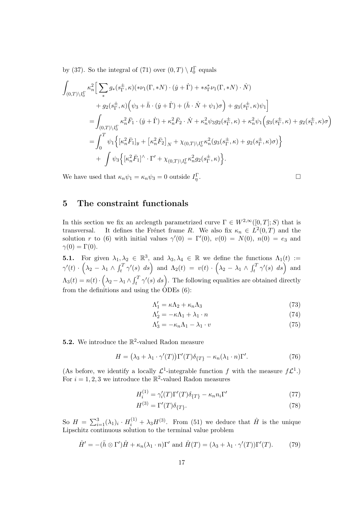by (37). So the integral of (71) over  $(0, T) \setminus I_0^{\Gamma}$  equals

$$
\int_{(0,T)\backslash I_{0}^{\Gamma}} \kappa_{n}^{2} \Big[ \sum_{\ast} g_{\ast}(s_{\Gamma}^{\pm},\kappa)(\ast \nu_{1}(\Gamma,\ast N) \cdot (\dot{y}+\dot{\Gamma}) + \ast s_{\Gamma}^{\ast} \nu_{1}(\Gamma,\ast N) \cdot \dot{N}) \n+ g_{2}(s_{\Gamma}^{\pm},\kappa) \Big( \psi_{3} + \bar{h} \cdot (\dot{y}+\dot{\Gamma}) + (\bar{h} \cdot \dot{N} + \psi_{1})\sigma \Big) + g_{3}(s_{\Gamma}^{\pm},\kappa) \psi_{1} \Big] \n= \int_{(0,T)\backslash I_{0}^{\Gamma}} \kappa_{n}^{2} \bar{F}_{1} \cdot (\dot{y}+\dot{\Gamma}) + \kappa_{n}^{2} \bar{F}_{2} \cdot \dot{N} + \kappa_{n}^{2} \psi_{3} g_{2}(s_{\Gamma}^{\pm},\kappa) + \kappa_{n}^{2} \psi_{1} \Big( g_{3}(s_{\Gamma}^{\pm},\kappa) + g_{2}(s_{\Gamma}^{\pm},\kappa) \sigma \Big) \n= \int_{0}^{T} \psi_{1} \Big\{ \big[ \kappa_{n}^{2} \bar{F}_{1} \big]_{y} + \big[ \kappa_{n}^{2} \bar{F}_{2} \big]_{N} + \chi_{(0,T)\backslash I_{0}^{\Gamma}} \kappa_{n}^{2} (g_{3}(s_{\Gamma}^{\pm},\kappa) + g_{2}(s_{\Gamma}^{\pm},\kappa) \sigma) \Big\} \n+ \int \psi_{3} \Big\{ \big[ \kappa_{n}^{2} \bar{F}_{1} \big]^{\wedge} \cdot \Gamma' + \chi_{(0,T)\backslash I_{0}^{\Gamma}} \kappa_{n}^{2} g_{2}(s_{\Gamma}^{\pm},\kappa) \Big\}.
$$

We have used that  $\kappa_n \psi_1 = \kappa_n \psi_3 = 0$  outside  $I_{\eta}^{\Gamma}$ 

$$
\mathcal{L} = \{ \mathcal{L} \mid \mathcal{L} \in \mathcal{L} \mid \mathcal{L} \in \mathcal{L} \} \cup \{ \mathcal{L} \in \mathcal{L} \}
$$

### 5 The constraint functionals

In this section we fix an arclength parametrized curve  $\Gamma \in W^{2,\infty}([0,T];S)$  that is transversal. It defines the Frénet frame R. We also fix  $\kappa_n \in L^2(0,T)$  and the solution r to (6) with initial values  $\gamma'(0) = \Gamma'(0)$ ,  $v(0) = N(0)$ ,  $n(0) = e_3$  and  $\gamma(0) = \Gamma(0).$ 

**5.1.** For given  $\lambda_1, \lambda_2 \in \mathbb{R}^3$ , and  $\lambda_3, \lambda_4 \in \mathbb{R}$  we define the functions  $\Lambda_1(t) :=$  $\gamma'(t) \, \cdot \, \left(\lambda_2 \, - \, \lambda_1 \, \wedge \, \int_t^T \gamma'(s) \, ds\right) \; \text{and} \; \Lambda_2(t) \; = \; v(t) \, \cdot \, \left(\lambda_2 \, - \, \lambda_1 \, \wedge \, \int_t^T \gamma'(s) \, ds\right) \; \text{and}$  $\Lambda_3(t) = n(t) \cdot \left(\lambda_2 - \lambda_1 \wedge \int_t^T \gamma'(s) \ ds\right)$ . The following equalities are obtained directly from the definitions and using the ODEs (6):

$$
\Lambda_1' = \kappa \Lambda_2 + \kappa_n \Lambda_3 \tag{73}
$$

$$
\Lambda_2' = -\kappa \Lambda_1 + \lambda_1 \cdot n \tag{74}
$$

$$
\Lambda_3' = -\kappa_n \Lambda_1 - \lambda_1 \cdot v \tag{75}
$$

**5.2.** We introduce the  $\mathbb{R}^2$ -valued Radon measure

$$
H = (\lambda_3 + \lambda_1 \cdot \gamma'(T)) \Gamma'(T) \delta_{\{T\}} - \kappa_n (\lambda_1 \cdot n) \Gamma'.
$$
 (76)

(As before, we identify a locally  $\mathcal{L}^1$ -integrable function f with the measure  $f\mathcal{L}^1$ .) For  $i = 1, 2, 3$  we introduce the  $\mathbb{R}^2$ -valued Radon measures

$$
H_i^{(1)} = \gamma_i'(T)\Gamma'(T)\delta_{\{T\}} - \kappa_n n_i \Gamma'
$$
\n(77)

$$
H^{(3)} = \Gamma'(T)\delta_{\{T\}}.\tag{78}
$$

So  $H = \sum_{i=1}^{3} (\lambda_1)_i \cdot H_i^{(1)} + \lambda_3 H^{(3)}$ . From (51) we deduce that  $\hat{H}$  is the unique Lipschitz continuous solution to the terminal value problem

$$
\hat{H}' = -(\bar{h} \otimes \Gamma')\hat{H} + \kappa_n(\lambda_1 \cdot n)\Gamma' \text{ and } \hat{H}(T) = (\lambda_3 + \lambda_1 \cdot \gamma'(T))\Gamma'(T). \tag{79}
$$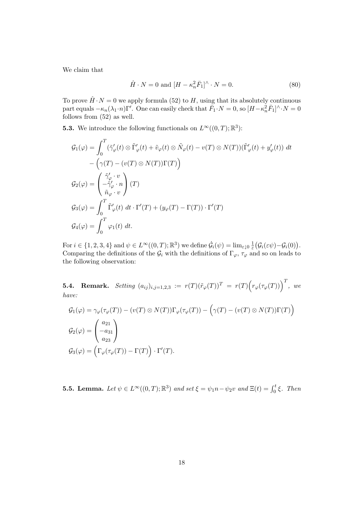We claim that

$$
\hat{H} \cdot N = 0 \text{ and } [H - \kappa_n^2 \bar{F}_1]^\wedge \cdot N = 0. \tag{80}
$$

To prove  $\hat{H} \cdot N = 0$  we apply formula (52) to H, using that its absolutely continuous part equals  $-\kappa_n(\lambda_1 \cdot n) \Gamma'$ . One can easily check that  $\bar{F}_1 \cdot N = 0$ , so  $[H - \kappa_n^2 \bar{F}_1]^{\wedge} \cdot N = 0$ follows from (52) as well.

**5.3.** We introduce the following functionals on  $L^{\infty}((0,T);\mathbb{R}^{3})$ :

$$
\mathcal{G}_1(\varphi) = \int_0^T (\tilde{\gamma}'_{\varphi}(t) \otimes \tilde{\Gamma}'_{\varphi}(t) + \tilde{v}_{\varphi}(t) \otimes \tilde{N}_{\varphi}(t) - v(T) \otimes N(T)) (\tilde{\Gamma}'_{\varphi}(t) + y'_{\varphi}(t)) dt \n- \left( \gamma(T) - (v(T) \otimes N(T)) \Gamma(T) \right) \n\mathcal{G}_2(\varphi) = \begin{pmatrix} \tilde{\gamma}'_{\varphi} \cdot v \\ -\tilde{\gamma}'_{\varphi} \cdot v \\ \tilde{n}_{\varphi} \cdot v \end{pmatrix} (T) \n\mathcal{G}_3(\varphi) = \int_0^T \tilde{\Gamma}'_{\varphi}(t) dt \cdot \Gamma'(T) + (y_{\varphi}(T) - \Gamma(T)) \cdot \Gamma'(T) \n\mathcal{G}_4(\varphi) = \int_0^T \varphi_1(t) dt.
$$

For  $i \in \{1, 2, 3, 4\}$  and  $\psi \in L^{\infty}((0, T); \mathbb{R}^3)$  we define  $\dot{\mathcal{G}}_i(\psi) = \lim_{\varepsilon \downarrow 0} \frac{1}{\varepsilon} (\mathcal{G}_i(\varepsilon \psi) - \mathcal{G}_i(0)).$ Comparing the definitions of the  $\mathcal{G}_i$  with the definitions of  $\Gamma_{\varphi}, \tau_{\varphi}$  and so on leads to the following observation:

**5.4. Remark.** Setting  $(a_{ij})_{i,j=1,2,3} := r(T)(\tilde{r}_{\varphi}(T))^T = r(T)\Big(r_{\varphi}(\tau_{\varphi}(T))\Big)^T$ , we have:

$$
G_1(\varphi) = \gamma_{\varphi}(\tau_{\varphi}(T)) - (v(T) \otimes N(T))\Gamma_{\varphi}(\tau_{\varphi}(T)) - (\gamma(T) - (v(T) \otimes N(T))\Gamma(T))
$$
  
\n
$$
G_2(\varphi) = \begin{pmatrix} a_{21} \\ -a_{31} \\ a_{23} \end{pmatrix}
$$
  
\n
$$
G_3(\varphi) = \left(\Gamma_{\varphi}(\tau_{\varphi}(T)) - \Gamma(T)\right) \cdot \Gamma'(T).
$$

**5.5. Lemma.** Let  $\psi \in L^{\infty}((0,T);\mathbb{R}^3)$  and set  $\xi = \psi_1 n - \psi_2 v$  and  $\Xi(t) = \int_0^t \xi$ . Then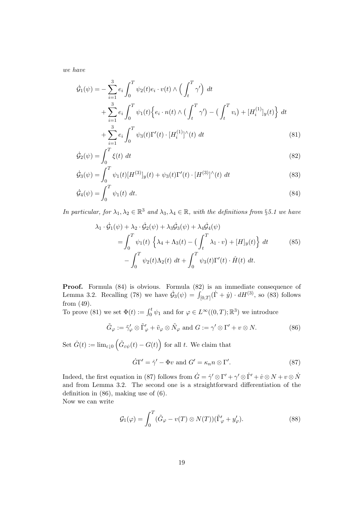we have

$$
\dot{\mathcal{G}}_1(\psi) = -\sum_{i=1}^3 e_i \int_0^T \psi_2(t) e_i \cdot v(t) \wedge \left(\int_t^T \gamma'\right) dt \n+ \sum_{i=1}^3 e_i \int_0^T \psi_1(t) \Big\{ e_i \cdot n(t) \wedge \left(\int_t^T \gamma'\right) - \left(\int_t^T v_i\right) + [H_i^{(1)}]_y(t) \Big\} dt \n+ \sum_{i=1}^3 e_i \int_0^T \psi_3(t) \Gamma'(t) \cdot [H_i^{(1)}]^\wedge(t) dt
$$
\n(81)

$$
\dot{\mathcal{G}}_2(\psi) = \int_0^T \xi(t) dt
$$
\n(82)

$$
\dot{\mathcal{G}}_3(\psi) = \int_0^T \psi_1(t) [H^{(3)}]_y(t) + \psi_3(t) \Gamma'(t) \cdot [H^{(3)}]^\wedge(t) dt \tag{83}
$$

$$
\dot{\mathcal{G}}_4(\psi) = \int_0^T \psi_1(t) dt. \tag{84}
$$

In particular, for  $\lambda_1, \lambda_2 \in \mathbb{R}^3$  and  $\lambda_3, \lambda_4 \in \mathbb{R}$ , with the definitions from §5.1 we have

$$
\lambda_1 \cdot \dot{\mathcal{G}}_1(\psi) + \lambda_2 \cdot \dot{\mathcal{G}}_2(\psi) + \lambda_3 \dot{\mathcal{G}}_3(\psi) + \lambda_4 \dot{\mathcal{G}}_4(\psi)
$$
\n
$$
= \int_0^T \psi_1(t) \left\{ \lambda_4 + \Lambda_3(t) - \left( \int_t^T \lambda_1 \cdot v \right) + [H]_y(t) \right\} dt \tag{85}
$$
\n
$$
- \int_0^T \psi_2(t) \Lambda_2(t) dt + \int_0^T \psi_3(t) \Gamma'(t) \cdot \hat{H}(t) dt.
$$

Proof. Formula (84) is obvious. Formula (82) is an immediate consequence of Lemma 3.2. Recalling (78) we have  $\dot{G}_3(\psi) = \int_{[0,T]} (\dot{\Gamma} + \dot{y}) \cdot dH^{(3)}$ , so (83) follows from (49).

To prove (81) we set  $\Phi(t) := \int_0^t \psi_1$  and for  $\varphi \in L^\infty((0,T);\mathbb{R}^3)$  we introduce

$$
\tilde{G}_{\varphi} := \tilde{\gamma}_{\varphi}' \otimes \tilde{\Gamma}_{\varphi}' + \tilde{v}_{\varphi} \otimes \tilde{N}_{\varphi} \text{ and } G := \gamma' \otimes \Gamma' + v \otimes N. \tag{86}
$$

Set  $\dot{G}(t) := \lim_{\varepsilon \downarrow 0} \left( \tilde{G}_{\varepsilon \psi}(t) - G(t) \right)$  for all t. We claim that

$$
\dot{G}\Gamma' = \dot{\gamma}' - \Phi v \text{ and } G' = \kappa_n n \otimes \Gamma'. \tag{87}
$$

 $(88)$ 

Indeed, the first equation in (87) follows from  $\dot{G} = \dot{\gamma}' \otimes \Gamma' + \gamma' \otimes \dot{\Gamma}' + \dot{v} \otimes N + v \otimes \dot{N}$ and from Lemma 3.2. The second one is a straightforward differentiation of the definition in (86), making use of (6). Now we can write

> $\mathcal{G}_1(\varphi) = \int^T$  $\boldsymbol{0}$  $(\tilde{G}_{\varphi}-v(T)\otimes N(T))(\tilde{\Gamma}'_{\varphi}+y'_{\varphi})$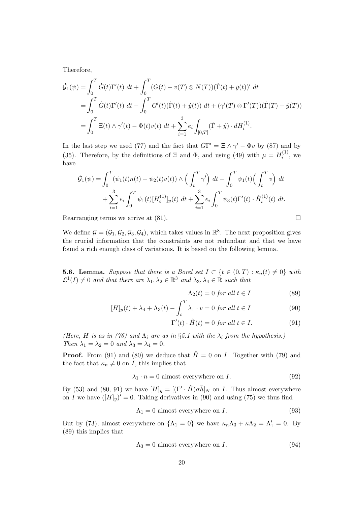Therefore,

$$
\dot{\mathcal{G}}_1(\psi) = \int_0^T \dot{G}(t) \Gamma'(t) \, dt + \int_0^T (G(t) - v(T) \otimes N(T)) (\dot{\Gamma}(t) + \dot{y}(t))' \, dt \n= \int_0^T \dot{G}(t) \Gamma'(t) \, dt - \int_0^T G'(t) (\dot{\Gamma}(t) + \dot{y}(t)) \, dt + (\gamma'(T) \otimes \Gamma'(T)) (\dot{\Gamma}(T) + \dot{y}(T)) \n= \int_0^T \Xi(t) \wedge \gamma'(t) - \Phi(t) v(t) \, dt + \sum_{i=1}^3 e_i \int_{[0,T]} (\dot{\Gamma} + \dot{y}) \cdot dH_i^{(1)}.
$$

In the last step we used (77) and the fact that  $\dot{G}\Gamma' = \Xi \wedge \gamma' - \Phi v$  by (87) and by (35). Therefore, by the definitions of  $\Xi$  and  $\Phi$ , and using (49) with  $\mu = H_i^{(1)}$  $i^{(1)}$ , we have

$$
\dot{\mathcal{G}}_1(\psi) = \int_0^T (\psi_1(t)n(t) - \psi_2(t)v(t)) \wedge \left(\int_t^T \gamma'\right) dt - \int_0^T \psi_1(t) \left(\int_t^T v\right) dt \n+ \sum_{i=1}^3 e_i \int_0^T \psi_1(t) [H_i^{(1)}]_y(t) dt + \sum_{i=1}^3 e_i \int_0^T \psi_3(t) \Gamma'(t) \cdot \hat{H}_i^{(1)}(t) dt.
$$

Rearranging terms we arrive at  $(81)$ .

We define  $\mathcal{G} = (\mathcal{G}_1, \mathcal{G}_2, \mathcal{G}_3, \mathcal{G}_4)$ , which takes values in  $\mathbb{R}^8$ . The next proposition gives the crucial information that the constraints are not redundant and that we have found a rich enough class of variations. It is based on the following lemma.

**5.6. Lemma.** Suppose that there is a Borel set  $I \subset \{t \in (0,T) : \kappa_n(t) \neq 0\}$  with  $\mathcal{L}^1(I) \neq 0$  and that there are  $\lambda_1, \lambda_2 \in \mathbb{R}^3$  and  $\lambda_3, \lambda_4 \in \mathbb{R}$  such that

$$
\Lambda_2(t) = 0 \text{ for all } t \in I \tag{89}
$$

$$
[H]_y(t) + \lambda_4 + \Lambda_3(t) - \int_t^T \lambda_1 \cdot v = 0 \text{ for all } t \in I
$$
\n(90)

$$
\Gamma'(t) \cdot \hat{H}(t) = 0 \text{ for all } t \in I. \tag{91}
$$

(Here, H is as in (76) and  $\Lambda_i$  are as in §5.1 with the  $\lambda_i$  from the hypothesis.) Then  $\lambda_1 = \lambda_2 = 0$  and  $\lambda_3 = \lambda_4 = 0$ .

**Proof.** From (91) and (80) we deduce that  $\hat{H} = 0$  on *I*. Together with (79) and the fact that  $\kappa_n \neq 0$  on *I*, this implies that

$$
\lambda_1 \cdot n = 0 \text{ almost everywhere on } I. \tag{92}
$$

By (53) and (80, 91) we have  $[H]_y = [(\Gamma' \cdot \hat{H}) \sigma \bar{h}]_N$  on *I*. Thus almost everywhere on I we have  $([H]_y)' = 0$ . Taking derivatives in (90) and using (75) we thus find

$$
\Lambda_1 = 0 \text{ almost everywhere on } I. \tag{93}
$$

But by (73), almost everywhere on  $\{\Lambda_1 = 0\}$  we have  $\kappa_n \Lambda_3 + \kappa \Lambda_2 = \Lambda'_1 = 0$ . By (89) this implies that

$$
\Lambda_3 = 0 \text{ almost everywhere on } I. \tag{94}
$$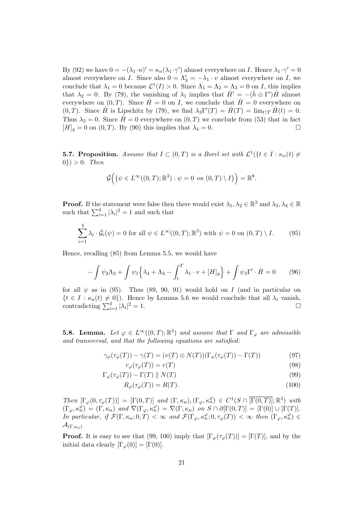By (92) we have  $0 = -(\lambda_1 \cdot n)' = \kappa_n(\lambda_1 \cdot \gamma')$  almost everywhere on *I*. Hence  $\lambda_1 \cdot \gamma' = 0$ almost everywhere on I. Since also  $0 = \Lambda'_3 = -\lambda_1 \cdot v$  almost everywhere on I, we conclude that  $\lambda_1 = 0$  because  $\mathcal{L}^1(I) > 0$ . Since  $\Lambda_1 = \Lambda_2 = \Lambda_3 = 0$  on *I*, this implies that  $\lambda_2 = 0$ . By (79), the vanishing of  $\lambda_1$  implies that  $\hat{H}' = -(\bar{h} \otimes \Gamma')\hat{H}$  almost everywhere on  $(0,T)$ . Since  $\hat{H} = 0$  on I, we conclude that  $\hat{H} = 0$  everywhere on (0,T). Since  $\hat{H}$  is Lipschitz by (79), we find  $\lambda_3 \Gamma'(T) = \hat{H}(T) = \lim_{t \uparrow T} \hat{H}(t) = 0$ . Thus  $\lambda_3 = 0$ . Since  $\hat{H} = 0$  everywhere on  $(0, T)$  we conclude from (53) that in fact  $[H]_y = 0$  on  $(0, T)$ . By (90) this implies that  $\lambda_4 = 0$ .

**5.7. Proposition.** Assume that  $I \subset (0,T)$  is a Borel set with  $\mathcal{L}^1(\{t \in I : \kappa_n(t) \neq \emptyset\})$  $0\}) > 0.$  Then

$$
\dot{\mathcal{G}}\Big(\{\psi\in L^\infty((0,T);\mathbb{R}^3):\psi=0\ \ on\ (0,T)\setminus I\}\Big)=\mathbb{R}^8.
$$

**Proof.** If the statement were false then there would exist  $\lambda_1, \lambda_2 \in \mathbb{R}^3$  and  $\lambda_3, \lambda_4 \in \mathbb{R}$ such that  $\sum_{i=1}^{4} |\lambda_i|^2 = 1$  and such that

$$
\sum_{i=1}^{4} \lambda_i \cdot \dot{\mathcal{G}}_i(\psi) = 0 \text{ for all } \psi \in L^{\infty}((0,T); \mathbb{R}^3) \text{ with } \psi = 0 \text{ on } (0,T) \setminus I. \tag{95}
$$

Hence, recalling (85) from Lemma 5.5, we would have

$$
-\int \psi_2 \Lambda_2 + \int \psi_1 \left\{ \lambda_4 + \Lambda_3 - \int_t^T \lambda_1 \cdot v + [H]_y \right\} + \int \psi_3 \Gamma' \cdot \hat{H} = 0 \tag{96}
$$

for all  $\psi$  as in (95). Thus (89, 90, 91) would hold on I (and in particular on  $\{t \in I : \kappa_n(t) \neq 0\}$ . Hence by Lemma 5.6 we would conclude that all  $\lambda_i$  vanish, contradicting  $\sum_{i=1}^{4} |\lambda_i|^2 = 1$ .

**5.8. Lemma.** Let  $\varphi \in L^{\infty}((0,T);\mathbb{R}^3)$  and assume that  $\Gamma$  and  $\Gamma_{\varphi}$  are admissible and transversal, and that the following equations are satisfied:

$$
\gamma_{\varphi}(\tau_{\varphi}(T)) - \gamma(T) = (v(T) \otimes N(T))(\Gamma_{\varphi}(\tau_{\varphi}(T)) - \Gamma(T))
$$
\n(97)

 $r_{\varphi}(\tau_{\varphi}(T)) = r(T)$  (98)

$$
\Gamma_{\varphi}(\tau_{\varphi}(T)) - \Gamma(T) \parallel N(T) \tag{99}
$$

$$
R_{\varphi}(\tau_{\varphi}(T)) = R(T). \tag{100}
$$

Then  $[\Gamma_{\varphi}(0, \tau_{\varphi}(T))] = [\Gamma(0, T)]$  and  $(\Gamma, \kappa_n), (\Gamma_{\varphi}, \kappa_n^{\varphi}) \in C^1(S \cap [\overline{\Gamma(0, T)}]; \mathbb{R}^3)$  with  $(\Gamma_{\varphi}, \kappa_n^{\varphi}) = (\Gamma, \kappa_n)$  and  $\nabla(\Gamma_{\varphi}, \kappa_n^{\varphi}) = \nabla(\Gamma, \kappa_n)$  on  $S \cap \partial[\Gamma(0, T)] = [\Gamma(0)] \cup [\Gamma(T)]$ . In particular, if  $\mathcal{F}(\Gamma,\kappa_n;0,T) < \infty$  and  $\mathcal{F}(\Gamma_{\varphi},\kappa_n^{\varphi};0,\tau_{\varphi}(T)) < \infty$  then  $(\Gamma_{\varphi},\kappa_n^{\varphi}) \in$  $\mathcal{A}_{(\Gamma,\kappa_n)}$ 

**Proof.** It is easy to see that (99, 100) imply that  $[\Gamma_{\varphi}(\tau_{\varphi}(T))] = [\Gamma(T)]$ , and by the initial data clearly  $[\Gamma_{\varphi}(0)] = [\Gamma(0)].$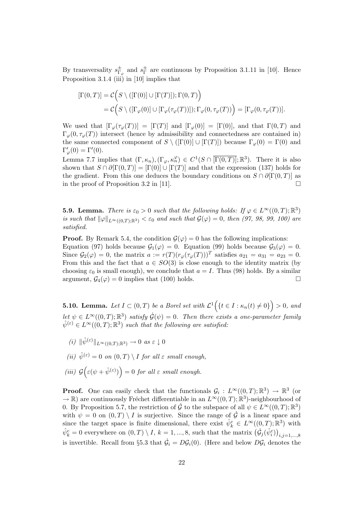By transversality  $s_{\Gamma}^{\pm}$  $_{\Gamma_\varphi}^{\pm}$  and  $s_{\Gamma}^{\pm}$  $_{\Gamma}^{\pm}$  are continuous by Proposition 3.1.11 in [10]. Hence Proposition 3.1.4 (iii) in [10] implies that

$$
[\Gamma(0,T)] = \mathcal{C}\Big(S \setminus ([\Gamma(0)] \cup [\Gamma(T)]); \Gamma(0,T)\Big)
$$
  
=  $\mathcal{C}\Big(S \setminus ([\Gamma_{\varphi}(0)] \cup [\Gamma_{\varphi}(\tau_{\varphi}(T))]); \Gamma_{\varphi}(0, \tau_{\varphi}(T))\Big) = [\Gamma_{\varphi}(0, \tau_{\varphi}(T))].$ 

We used that  $[\Gamma_{\varphi}(\tau_{\varphi}(T))] = [\Gamma(T)]$  and  $[\Gamma_{\varphi}(0)] = [\Gamma(0)]$ , and that  $\Gamma(0,T)$  and  $\Gamma_{\varphi}(0,\tau_{\varphi}(T))$  intersect (hence by admissibility and connectedness are contained in) the same connected component of  $S \setminus ([\Gamma(0)] \cup [\Gamma(T)])$  because  $\Gamma_{\varphi}(0) = \Gamma(0)$  and  $\Gamma_{\varphi}'(0) = \Gamma'(0).$ 

Lemma 7.7 implies that  $(\Gamma, \kappa_n), (\Gamma_\varphi, \kappa_n^{\varphi}) \in C^1(S \cap \overline{[\Gamma(0,T)]}; \mathbb{R}^3)$ . There it is also shown that  $S \cap \partial [\Gamma(0,T)] = [\Gamma(0)] \cup [\Gamma(T)]$  and that the expression (137) holds for the gradient. From this one deduces the boundary conditions on  $S \cap \partial [\Gamma(0,T)]$  as in the proof of Proposition 3.2 in [11].  $\Box$ 

**5.9. Lemma.** There is  $\varepsilon_0 > 0$  such that the following holds: If  $\varphi \in L^{\infty}((0,T);\mathbb{R}^3)$ is such that  $\|\varphi\|_{L^{\infty}((0,T);\mathbb{R}^3)} < \varepsilon_0$  and such that  $\mathcal{G}(\varphi) = 0$ , then (97, 98, 99, 100) are satisfied.

**Proof.** By Remark 5.4, the condition  $\mathcal{G}(\varphi) = 0$  has the following implications: Equation (97) holds because  $\mathcal{G}_1(\varphi) = 0$ . Equation (99) holds because  $\mathcal{G}_3(\varphi) = 0$ . Since  $\mathcal{G}_2(\varphi) = 0$ , the matrix  $a := r(T)(r_{\varphi}(\tau_{\varphi}(T)))^T$  satisfies  $a_{21} = a_{31} = a_{23} = 0$ . From this and the fact that  $a \in SO(3)$  is close enough to the identity matrix (by choosing  $\varepsilon_0$  is small enough), we conclude that  $a = I$ . Thus (98) holds. By a similar argument,  $\mathcal{G}_4(\varphi) = 0$  implies that (100) holds.

**5.10. Lemma.** Let  $I \subset (0,T)$  be a Borel set with  $\mathcal{L}^1(\lbrace t \in I : \kappa_n(t) \neq 0 \rbrace) > 0$ , and let  $\psi \in L^{\infty}((0,T);\mathbb{R}^3)$  satisfy  $\dot{\mathcal{G}}(\psi) = 0$ . Then there exists a one-parameter family  $\hat\psi^{(\varepsilon)}\in L^\infty((0,T);\mathbb{R}^3)$  such that the following are satisfied:

- (i)  $\|\hat{\psi}^{(\varepsilon)}\|_{L^{\infty}((0,T);\mathbb{R}^3)} \to 0 \text{ as } \varepsilon \downarrow 0$
- (ii)  $\hat{\psi}^{(\varepsilon)} = 0$  on  $(0,T) \setminus I$  for all  $\varepsilon$  small enough,
- (iii)  $\mathcal{G}\big(\varepsilon(\psi+\hat{\psi}^{(\varepsilon)})\big)=0$  for all  $\varepsilon$  small enough.

**Proof.** One can easily check that the functionals  $\mathcal{G}_i : L^{\infty}((0,T);\mathbb{R}^3) \to \mathbb{R}^3$  (or  $\rightarrow \mathbb{R}$ ) are continuously Fréchet differentiable in an  $L^{\infty}((0,T);\mathbb{R}^{3})$ -neighbourhood of 0. By Proposition 5.7, the restriction of  $\dot{\mathcal{G}}$  to the subspace of all  $\psi \in L^{\infty}((0,T);\mathbb{R}^3)$ with  $\psi = 0$  on  $(0,T) \setminus I$  is surjective. Since the range of  $\dot{\mathcal{G}}$  is a linear space and since the target space is finite dimensional, there exist  $\hat{\psi}_k^c \in L^{\infty}((0,T);\mathbb{R}^3)$  with  $\hat{\psi}_k^c = 0$  everywhere on  $(0, T) \setminus I$ ,  $k = 1, ..., 8$ , such that the matrix  $(\dot{\mathcal{G}}_j(\hat{\psi}_i^c))_{i,j=1,...,8}$ is invertible. Recall from §5.3 that  $\dot{\mathcal{G}}_i = D\mathcal{G}_i(0)$ . (Here and below  $D\mathcal{G}_i$  denotes the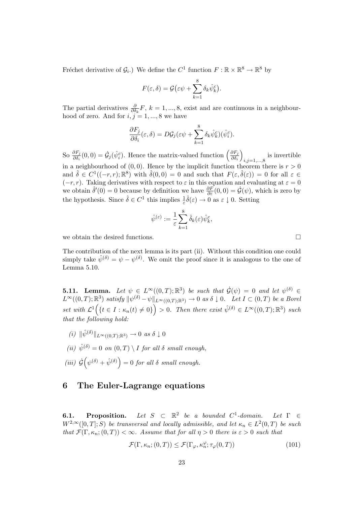Fréchet derivative of  $\mathcal{G}_i$ .) We define the  $C^1$  function  $F : \mathbb{R} \times \mathbb{R}^8 \to \mathbb{R}^8$  by

$$
F(\varepsilon,\delta) = \mathcal{G}\big(\varepsilon\psi + \sum_{k=1}^8 \delta_k \hat{\psi}_k^c\big).
$$

The partial derivatives  $\frac{\partial}{\partial \delta_k} F$ ,  $k = 1, ..., 8$ , exist and are continuous in a neighbourhood of zero. And for  $i, j = 1, ..., 8$  we have

$$
\frac{\partial F_j}{\partial \delta_i}(\varepsilon, \delta) = D\mathcal{G}_j(\varepsilon \psi + \sum_{k=1}^8 \delta_k \hat{\psi}_k^c)(\hat{\psi}_i^c).
$$

So  $\frac{\partial F_j}{\partial \delta_i}(0,0) = \dot{\mathcal{G}}_j(\hat{\psi}_i^c)$ . Hence the matrix-valued function  $\left(\frac{\partial F_j}{\partial \delta_i}\right)$  $\frac{\partial F_j}{\partial \delta_i}\bigg)$  $i,j=1,\ldots,8$  is invertible in a neighbourhood of  $(0, 0)$ . Hence by the implicit function theorem there is  $r > 0$ and  $\hat{\delta} \in C^1((-r,r);\mathbb{R}^8)$  with  $\hat{\delta}(0,0) = 0$  and such that  $F(\varepsilon,\hat{\delta}(\varepsilon)) = 0$  for all  $\varepsilon \in$  $(-r, r)$ . Taking derivatives with respect to  $\varepsilon$  in this equation and evaluating at  $\varepsilon = 0$ we obtain  $\hat{\delta}'(0) = 0$  because by definition we have  $\frac{\partial F}{\partial \varepsilon}(0,0) = \dot{\mathcal{G}}(\psi)$ , which is zero by the hypothesis. Since  $\hat{\delta} \in C^1$  this implies  $\frac{1}{\varepsilon} \hat{\delta}(\varepsilon) \to 0$  as  $\varepsilon \downarrow 0$ . Setting

$$
\hat{\psi}^{(\varepsilon)} := \frac{1}{\varepsilon} \sum_{k=1}^8 \hat{\delta}_k(\varepsilon) \hat{\psi}_k^c,
$$

we obtain the desired functions.  $\Box$ 

The contribution of the next lemma is its part (ii). Without this condition one could simply take  $\hat{\psi}^{(\delta)} = \psi - \psi^{(\delta)}$ . We omit the proof since it is analogous to the one of Lemma 5.10.

**5.11.** Lemma. Let  $\psi \in L^{\infty}((0,T);\mathbb{R}^{3})$  be such that  $\dot{\mathcal{G}}(\psi) = 0$  and let  $\psi^{(\delta)} \in$  $L^{\infty}((0,T);\mathbb{R}^3)$  satisfy  $\|\psi^{(\delta)} - \psi\|_{L^{\infty}((0,T);\mathbb{R}^3)} \to 0$  as  $\delta \downarrow 0$ . Let  $I \subset (0,T)$  be a Borel set with  $\mathcal{L}^1(\lbrace t \in I : \kappa_n(t) \neq 0 \rbrace) > 0$ . Then there exist  $\hat{\psi}^{(\delta)} \in L^{\infty}((0,T);\mathbb{R}^3)$  such that the following hold:

- $(i) \|\hat{\psi}^{(\delta)}\|_{L^{\infty}((0,T);\mathbb{R}^3)} \to 0 \text{ as } \delta \downarrow 0$
- (ii)  $\hat{\psi}^{(\delta)} = 0$  on  $(0,T) \setminus I$  for all  $\delta$  small enough,
- (iii)  $\dot{\mathcal{G}}(\psi^{(\delta)} + \hat{\psi}^{(\delta)}) = 0$  for all  $\delta$  small enough.

#### 6 The Euler-Lagrange equations

**6.1.** Proposition. Let  $S \subset \mathbb{R}^2$  be a bounded  $C^1$ -domain. Let  $\Gamma \in$  $W^{2,\infty}([0,T];S)$  be transversal and locally admissible, and let  $\kappa_n \in L^2(0,T)$  be such that  $\mathcal{F}(\Gamma,\kappa_n;(0,T)) < \infty$ . Assume that for all  $\eta > 0$  there is  $\varepsilon > 0$  such that

$$
\mathcal{F}(\Gamma,\kappa_n;(0,T)) \le \mathcal{F}(\Gamma_\varphi,\kappa_n^\varphi;\tau_\varphi(0,T))
$$
\n(101)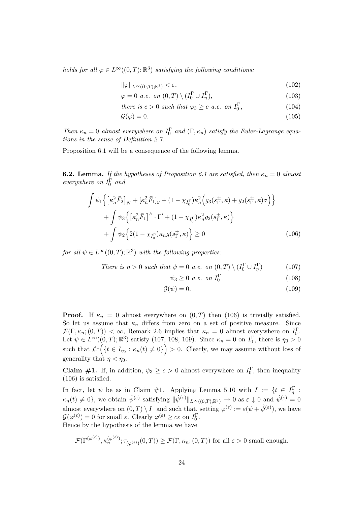holds for all  $\varphi \in L^{\infty}((0,T);\mathbb{R}^3)$  satisfying the following conditions:

$$
\|\varphi\|_{L^{\infty}((0,T);\mathbb{R}^3)} < \varepsilon,\tag{102}
$$

$$
\varphi = 0 \ a.e. \ on \ (0, T) \setminus (I_0^{\Gamma} \cup I_{\eta}^{\Gamma}), \tag{103}
$$

there is 
$$
c > 0
$$
 such that  $\varphi_3 \ge c$  a.e. on  $I_0^{\Gamma}$ ,  $(104)$ 

$$
\mathcal{G}(\varphi) = 0. \tag{105}
$$

Then  $\kappa_n = 0$  almost everywhere on  $I_0^{\Gamma}$  and  $(\Gamma, \kappa_n)$  satisfy the Euler-Lagrange equations in the sense of Definition 2.7.

Proposition 6.1 will be a consequence of the following lemma.

**6.2. Lemma.** If the hypotheses of Proposition 6.1 are satisfied, then  $\kappa_n = 0$  almost everywhere on  $I_0^{\Gamma}$  and

$$
\int \psi_1 \left\{ \left[ \kappa_n^2 \bar{F}_2 \right]_N + \left[ \kappa_n^2 \bar{F}_1 \right]_y + (1 - \chi_{I_0^{\Gamma}}) \kappa_n^2 \left( g_3(s_{\Gamma}^{\pm}, \kappa) + g_2(s_{\Gamma}^{\pm}, \kappa) \sigma \right) \right\} \n+ \int \psi_3 \left\{ \left[ \kappa_n^2 \bar{F}_1 \right]^\wedge \cdot \Gamma' + (1 - \chi_{I_0^{\Gamma}}) \kappa_n^2 g_2(s_{\Gamma}^{\pm}, \kappa) \right\} \n+ \int \psi_2 \left\{ 2(1 - \chi_{I_0^{\Gamma}}) \kappa_n g(s_{\Gamma}^{\pm}, \kappa) \right\} \ge 0
$$
\n(106)

for all  $\psi \in L^{\infty}((0,T);\mathbb{R}^{3})$  with the following properties:

There is 
$$
\eta > 0
$$
 such that  $\psi = 0$  a.e. on  $(0, T) \setminus (I_0^{\Gamma} \cup I_{\eta}^{\Gamma})$  (107)

$$
\psi_3 \ge 0 \ a.e. \ on \ I_0^{\Gamma} \tag{108}
$$

$$
\dot{\mathcal{G}}(\psi) = 0. \tag{109}
$$

**Proof.** If  $\kappa_n = 0$  almost everywhere on  $(0, T)$  then  $(106)$  is trivially satisfied. So let us assume that  $\kappa_n$  differs from zero on a set of positive measure. Since  $\mathcal{F}(\Gamma,\kappa_n;(0,T)) < \infty$ , Remark 2.6 implies that  $\kappa_n = 0$  almost everywhere on  $I_0^{\Gamma}$ . Let  $\psi \in L^{\infty}((0,T);\mathbb{R}^3)$  satisfy (107, 108, 109). Since  $\kappa_n = 0$  on  $I_0^{\Gamma}$ , there is  $\eta_0 > 0$ such that  $\mathcal{L}^1(\lbrace t \in I_{\eta_0} : \kappa_n(t) \neq 0 \rbrace) > 0$ . Clearly, we may assume without loss of generality that  $\eta < \eta_0$ .

**Claim #1.** If, in addition,  $\psi_3 \geq c > 0$  almost everywhere on  $I_0^{\Gamma}$ , then inequality (106) is satisfied.

In fact, let  $\psi$  be as in Claim #1. Applying Lemma 5.10 with  $I := \{t \in I_{\eta}^{\Gamma} :$  $\kappa_n(t) \neq 0$ , we obtain  $\hat{\psi}^{(\varepsilon)}$  satisfying  $\|\hat{\psi}^{(\varepsilon)}\|_{L^{\infty}((0,T);\mathbb{R}^3)} \to 0$  as  $\varepsilon \downarrow 0$  and  $\hat{\psi}^{(\varepsilon)} = 0$ almost everywhere on  $(0,T) \setminus I$  and such that, setting  $\varphi^{(\varepsilon)} := \varepsilon(\psi + \hat{\psi}^{(\varepsilon)})$ , we have  $\mathcal{G}(\varphi^{(\varepsilon)}) = 0$  for small  $\varepsilon$ . Clearly  $\varphi^{(\varepsilon)} \geq c\varepsilon$  on  $I_0^{\Gamma}$ .

Hence by the hypothesis of the lemma we have

$$
\mathcal{F}(\Gamma^{(\varphi^{(\varepsilon)})}, \kappa_n^{(\varphi^{(\varepsilon)})}; \tau_{(\varphi^{(\varepsilon)})}(0,T)) \ge \mathcal{F}(\Gamma, \kappa_n; (0,T)) \text{ for all } \varepsilon > 0 \text{ small enough.}
$$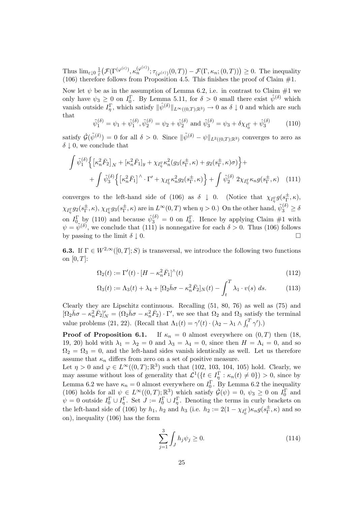Thus  $\lim_{\varepsilon\downarrow0}\frac{1}{\varepsilon}\big(\mathcal{F}(\Gamma^{(\varphi^{(\varepsilon)})},\kappa_n^{(\varphi^{(\varepsilon)})};\tau_{(\varphi^{(\varepsilon)})}(0,T))-\mathcal{F}(\Gamma,\kappa_n;(0,T))\big)\geq 0.$  The inequality (106) therefore follows from Proposition 4.5. This finishes the proof of Claim  $#1$ .

Now let  $\psi$  be as in the assumption of Lemma 6.2, i.e. in contrast to Claim #1 we only have  $\psi_3 \geq 0$  on  $I_0^{\Gamma}$ . By Lemma 5.11, for  $\delta > 0$  small there exist  $\hat{\psi}^{(\delta)}$  which vanish outside  $I_{\eta}^{\Gamma}$ , which satisfy  $\|\hat{\psi}^{(\delta)}\|_{L^{\infty}((0,T);\mathbb{R}^3)} \to 0$  as  $\delta \downarrow 0$  and which are such that

$$
\tilde{\psi}_1^{(\delta)} = \psi_1 + \hat{\psi}_1^{(\delta)}, \tilde{\psi}_2^{(\delta)} = \psi_2 + \hat{\psi}_2^{(\delta)} \text{ and } \tilde{\psi}_3^{(\delta)} = \psi_3 + \delta \chi_{I_0^{\Gamma}} + \hat{\psi}_3^{(\delta)} \tag{110}
$$

satisfy  $\dot{\mathcal{G}}(\tilde{\psi}^{(\delta)}) = 0$  for all  $\delta > 0$ . Since  $\|\tilde{\psi}^{(\delta)} - \psi\|_{L^2((0,T);\mathbb{R}^3)}$  converges to zero as  $\delta$  | 0, we conclude that

$$
\int \tilde{\psi}_1^{(\delta)} \Big\{ \left[ \kappa_n^2 \bar{F}_2 \right]_N + \left[ \kappa_n^2 \bar{F}_1 \right]_y + \chi_{I_\eta^{\Gamma}} \kappa_n^2 (g_3(s_\Gamma^{\pm}, \kappa) + g_2(s_\Gamma^{\pm}, \kappa) \sigma) \Big\} + + \int \tilde{\psi}_3^{(\delta)} \Big\{ \left[ \kappa_n^2 \bar{F}_1 \right]^\wedge \cdot \Gamma' + \chi_{I_\eta^{\Gamma}} \kappa_n^2 g_2(s_\Gamma^{\pm}, \kappa) \Big\} + \int \tilde{\psi}_2^{(\delta)} 2\chi_{I_\eta^{\Gamma}} \kappa_n g(s_\Gamma^{\pm}, \kappa) \tag{111}
$$

converges to the left-hand side of (106) as  $\delta \downarrow 0$ . (Notice that  $\chi_{I_{\eta}^{\Gamma}} g(s_{\Gamma}^{\pm})$  $_{\Gamma}^{\pm},\kappa),$  $\chi_{I_{\eta}^{\Gamma}}g_2(s_{\Gamma}^{\pm}% ,\gamma_{\sigma}^{\pm})=i\omega_{I_{\eta}}\omega_{I_{\eta}}\omega_{I_{\eta}}\omega_{I_{\eta}}\omega_{I_{\eta}}\omega_{I_{\eta}}\omega_{I_{\eta}}\omega_{I_{\eta}}\omega_{I_{\eta}}\omega_{I_{\eta}}\omega_{I_{\eta}}\omega_{I_{\eta}}$  $_{\Gamma}^{\pm},\kappa),\,\chi_{I_{\eta}^{\Gamma}}g_{3}(s_{\Gamma}^{\pm}% ,\kappa),\,\lambda_{I_{\eta}^{\Gamma}}g_{3}(s_{\Gamma}^{\pm},\kappa))$  $(\frac{\pm}{\Gamma}, \kappa)$  are in  $L^{\infty}(0,T)$  when  $\eta > 0$ .) On the other hand,  $\tilde{\psi}_3^{(\delta)} \ge \delta$ on  $I_0^{\Gamma}$  by (110) and because  $\hat{\psi}_3^{(\delta)} = 0$  on  $I_0^{\Gamma}$ . Hence by applying Claim #1 with  $\psi = \tilde{\psi}^{(\delta)}$ , we conclude that (111) is nonnegative for each  $\delta > 0$ . Thus (106) follows by passing to the limit  $\delta \perp 0$ .

**6.3.** If  $\Gamma \in W^{2,\infty}([0,T]; S)$  is transversal, we introduce the following two functions on  $[0,T]$ :

$$
\Omega_2(t) := \Gamma'(t) \cdot [H - \kappa_n^2 \bar{F}_1]^\wedge(t) \tag{112}
$$

$$
\Omega_3(t) := \Lambda_3(t) + \lambda_4 + [\Omega_2 \bar{h}\sigma - \kappa_n^2 \bar{F}_2]_N(t) - \int_t^T \lambda_1 \cdot v(s) \ ds.
$$
 (113)

Clearly they are Lipschitz continuous. Recalling (51, 80, 76) as well as (75) and  $[\Omega_2 \bar{h}\sigma - \kappa_n^2 \bar{F}_2]'_N = (\Omega_2 \bar{h}\sigma - \kappa_n^2 \bar{F}_2) \cdot \Gamma'$ , we see that  $\Omega_2$  and  $\Omega_3$  satisfy the terminal value problems (21, 22). (Recall that  $\Lambda_1(t) = \gamma'(t) \cdot (\lambda_2 - \lambda_1 \wedge \int_t^T \gamma')$ .)

**Proof of Proposition 6.1.** If  $\kappa_n = 0$  almost everywhere on  $(0, T)$  then  $(18, T)$ 19, 20) hold with  $\lambda_1 = \lambda_2 = 0$  and  $\lambda_3 = \lambda_4 = 0$ , since then  $H = \Lambda_i = 0$ , and so  $\Omega_2 = \Omega_3 = 0$ , and the left-hand sides vanish identically as well. Let us therefore assume that  $\kappa_n$  differs from zero on a set of positive measure.

Let  $\eta > 0$  and  $\varphi \in L^{\infty}((0,T);\mathbb{R}^3)$  such that (102, 103, 104, 105) hold. Clearly, we may assume without loss of generality that  $\mathcal{L}^1(\{t \in I_n^{\Gamma} : \kappa_n(t) \neq 0\}) > 0$ , since by Lemma 6.2 we have  $\kappa_n = 0$  almost everywhere on  $I_0^{\Gamma}$ . By Lemma 6.2 the inequality (106) holds for all  $\psi \in L^{\infty}((0,T);\mathbb{R}^3)$  which satisfy  $\dot{\mathcal{G}}(\psi) = 0, \psi_3 \geq 0$  on  $I_0^{\Gamma}$  and  $\psi = 0$  outside  $I_0^{\Gamma} \cup I_{\eta}^{\Gamma}$ . Set  $J := I_0^{\Gamma} \cup I_{\eta}^{\Gamma}$ . Denoting the terms in curly brackets on the left-hand side of (106) by  $h_1$ ,  $h_2$  and  $h_3$  (i.e.  $h_2 := 2(1 - \chi_{I_0}^{\Gamma})\kappa_n g(s_{\Gamma}^{\pm})$  $^{\pm}_{\Gamma}$ ,  $\kappa$ ) and so on), inequality (106) has the form

$$
\sum_{j=1}^{3} \int_{J} h_j \psi_j \ge 0.
$$
 (114)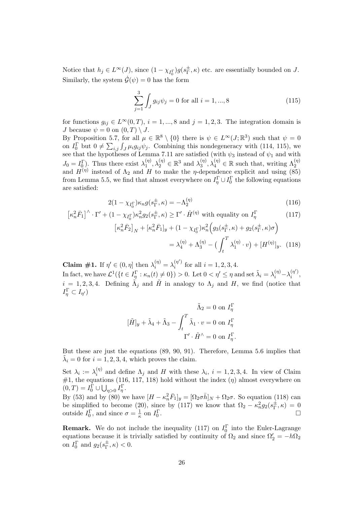Notice that  $h_j \in L^{\infty}(J)$ , since  $(1 - \chi_{I_0^{\Gamma}})g(s_{\Gamma}^{\pm})$  $_{\Gamma}^{\pm}$ ,  $\kappa$ ) etc. are essentially bounded on J. Similarly, the system  $\dot{\mathcal{G}}(\psi) = 0$  has the form

$$
\sum_{j=1}^{3} \int_{J} g_{ij} \psi_j = 0 \text{ for all } i = 1, ..., 8
$$
 (115)

for functions  $g_{ij} \in L^{\infty}(0,T)$ ,  $i = 1,...,8$  and  $j = 1,2,3$ . The integration domain is *J* because  $\psi = 0$  on  $(0, T) \setminus J$ .

By Proposition 5.7, for all  $\mu \in \mathbb{R}^8 \setminus \{0\}$  there is  $\psi \in L^{\infty}(J;\mathbb{R}^3)$  such that  $\psi = 0$ on  $I_0^{\Gamma}$  but  $0 \neq \sum_{i,j} \int_J \mu_i g_{ij} \psi_j$ . Combining this nondegeneracy with (114, 115), we see that the hypotheses of Lemma 7.11 are satisfied (with  $\psi_3$  instead of  $\psi_1$  and with  $J_0 = I_0^{\Gamma}$ . Thus there exist  $\lambda_1^{(\eta)}$  $\lambda_1^{(\eta)}, \lambda_2^{(\eta)} \in \mathbb{R}^3$  and  $\lambda_3^{(\eta)}$  $J_0 = I_0^{\Gamma}$ ). Thus there exist  $\lambda_1^{(\eta)}, \lambda_2^{(\eta)} \in \mathbb{R}^3$  and  $\lambda_3^{(\eta)}, \lambda_4^{(\eta)} \in \mathbb{R}$  such that, writing  $\Lambda_2^{(\eta)}$  and  $H^{(\eta)}$  instead of  $\Lambda_2$  and  $H$  to make the  $\eta$ -dependence explicit and using (85) from Lemma 5.5, we find that almost everywhere on  $I_{\eta}^{\Gamma} \cup I_{0}^{\Gamma}$  the following equations are satisfied:

$$
2(1 - \chi_{I_0^{\Gamma}})\kappa_n g(s_{\Gamma}^{\pm}, \kappa) = -\Lambda_2^{(\eta)} \tag{116}
$$

$$
\left[\kappa_n^2 \bar{F}_1\right]^\wedge \cdot \Gamma' + (1 - \chi_{I_0^{\Gamma}}) \kappa_n^2 g_2(s_\Gamma^{\pm}, \kappa) \ge \Gamma' \cdot \hat{H}^{(\eta)} \text{ with equality on } I_\eta^{\Gamma} \tag{117}
$$

$$
\left[\kappa_n^2 \bar{F}_2\right]_N + \left[\kappa_n^2 \bar{F}_1\right]_y + (1 - \chi_{I_0^{\Gamma}}) \kappa_n^2 \left(g_3(s_{\Gamma}^{\pm}, \kappa) + g_2(s_{\Gamma}^{\pm}, \kappa)\sigma\right)
$$

$$
= \lambda_4^{(\eta)} + \Lambda_3^{(\eta)} - \left(\int_t^T \lambda_1^{(\eta)} \cdot v\right) + [H^{(\eta)}]_y. \tag{118}
$$

**Claim** #1. If  $\eta' \in (0, \eta]$  then  $\lambda_i^{(\eta)} = \lambda_i^{(\eta')}$  $i^{(\eta)}$  for all  $i = 1, 2, 3, 4$ . In fact, we have  $\mathcal{L}^1(\{t \in I_{\eta}^{\Gamma} : \kappa_n(t) \neq 0\}) > 0$ . Let  $0 < \eta' \leq \eta$  and set  $\tilde{\lambda}_i = \lambda_i^{(\eta)} - \lambda_i^{(\eta')}$  $\binom{n}{i}$  $i = 1, 2, 3, 4$ . Defining  $\tilde{\Lambda}_j$  and  $\tilde{H}$  in analogy to  $\Lambda_j$  and H, we find (notice that  $I_{\eta}^{\Gamma} \subset I_{\eta'}$ 

$$
\tilde{\Lambda}_2 = 0 \text{ on } I_{\eta}^{\Gamma}
$$

$$
[\tilde{H}]_y + \tilde{\lambda}_4 + \tilde{\Lambda}_3 - \int_t^T \tilde{\lambda}_1 \cdot v = 0 \text{ on } I_{\eta}^{\Gamma}
$$

$$
\Gamma' \cdot \tilde{H}^{\wedge} = 0 \text{ on } I_{\eta}^{\Gamma}.
$$

But these are just the equations (89, 90, 91). Therefore, Lemma 5.6 implies that  $\tilde{\lambda}_i = 0$  for  $i = 1, 2, 3, 4$ , which proves the claim.

Set  $\lambda_i := \lambda_i^{(\eta)}$  $\lambda_i^{(1)}$  and define  $\Lambda_j$  and H with these  $\lambda_i$ ,  $i = 1, 2, 3, 4$ . In view of Claim  $\#1$ , the equations (116, 117, 118) hold without the index  $(\eta)$  almost everywhere on  $(0,T) = I_0^{\Gamma} \cup \bigcup_{\eta>0} I_{\eta}^{\Gamma}.$ 

By (53) and by (80) we have  $[H - \kappa_n^2 \bar{F}_1]_y = [\Omega_2 \sigma \bar{h}]_N + \Omega_2 \sigma$ . So equation (118) can be simplified to become (20), since by (117) we know that  $\Omega_2 - \kappa_n^2 g_2(s_\Gamma^{\pm})$  $_{\Gamma}^{\pm},\kappa) = 0$ outside  $I_0^{\Gamma}$ , and since  $\sigma = \frac{1}{\kappa}$  on  $I_0^{\Gamma}$ . ¤

**Remark.** We do not include the inequality (117) on  $I_0^{\Gamma}$  into the Euler-Lagrange equations because it is trivially satisfied by continuity of  $\Omega_2$  and since  $\Omega'_2 = -h\Omega_2$ on  $I_0^{\Gamma}$  and  $g_2(s_{\Gamma}^{\pm}$  $_{\Gamma}^{\pm}$ ,  $\kappa$ )  $< 0$ .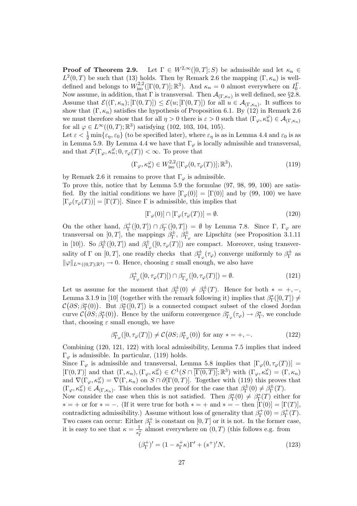**Proof of Theorem 2.9.** Let  $\Gamma \in W^{2,\infty}([0,T];S)$  be admissible and let  $\kappa_n \in$  $L^2(0,T)$  be such that (13) holds. Then by Remark 2.6 the mapping  $(\Gamma,\kappa_n)$  is welldefined and belongs to  $W_{\text{iso}}^{2,2}([\Gamma(0,T)];\mathbb{R}^3)$ . And  $\kappa_n=0$  almost everywhere on  $I_0^{\Gamma}$ . Now assume, in addition, that  $\Gamma$  is transversal. Then  $\mathcal{A}_{(\Gamma,\kappa_n)}$  is well defined, see §2.8. Assume that  $\mathcal{E}((\Gamma,\kappa_n); [\Gamma(0,T)]) \leq \mathcal{E}(u; [\Gamma(0,T)])$  for all  $u \in \mathcal{A}_{(\Gamma,\kappa_n)}$ . It suffices to show that  $(\Gamma, \kappa_n)$  satisfies the hypothesis of Proposition 6.1. By (12) in Remark 2.6 we must therefore show that for all  $\eta > 0$  there is  $\varepsilon > 0$  such that  $(\Gamma_{\varphi}, \kappa_n^{\varphi}) \in \mathcal{A}_{(\Gamma,\kappa_n)}$ for all  $\varphi \in L^{\infty}((0,T);\mathbb{R}^3)$  satisfying (102, 103, 104, 105).

Let  $\varepsilon < \frac{1}{2} \min{\varepsilon_{\eta}, \varepsilon_0}$  (to be specified later), where  $\varepsilon_{\eta}$  is as in Lemma 4.4 and  $\varepsilon_0$  is as in Lemma 5.9. By Lemma 4.4 we have that  $\Gamma_{\varphi}$  is locally admissible and transversal, and that  $\mathcal{F}(\Gamma_{\varphi}, \kappa_n^{\varphi}; 0, \tau_{\varphi}(T)) < \infty$ . To prove that

$$
(\Gamma_{\varphi}, \kappa_n^{\varphi}) \in W_{\text{iso}}^{2,2}([\Gamma_{\varphi}(0, \tau_{\varphi}(T))]; \mathbb{R}^3), \tag{119}
$$

by Remark 2.6 it remains to prove that  $\Gamma_{\varphi}$  is admissible.

To prove this, notice that by Lemma 5.9 the formulae (97, 98, 99, 100) are satisfied. By the initial conditions we have  $[\Gamma_{\varphi}(0)] = [\Gamma(0)]$  and by (99, 100) we have  $[\Gamma_{\varphi}(\tau_{\varphi}(T))] = [\Gamma(T)]$ . Since  $\Gamma$  is admissible, this implies that

$$
[\Gamma_{\varphi}(0)] \cap [\Gamma_{\varphi}(\tau_{\varphi}(T))] = \emptyset. \tag{120}
$$

On the other hand,  $\beta_{\Gamma}^+$  $\Gamma_{\Gamma}^{+}([0,T]) \cap \beta_{\Gamma}^{-}$  $\Gamma_{\Gamma}([0,T]) = \emptyset$  by Lemma 7.8. Since Γ, Γ<sub>φ</sub> are transversal on [0, T], the mappings  $\beta_{\Gamma}^{\pm}$  $_{\Gamma}^{\pm},~\beta_{\Gamma}^{\pm}$  $T_{\varphi}^{\pm}$  are Lipschitz (see Proposition 3.1.11) in [10]). So  $\beta_{\Gamma}^{\pm}$  $\int_{\Gamma}^{\pm}([0,T])$  and  $\beta_{\Gamma,\zeta}^{\pm}$  $\mathcal{L}_{\Gamma_{\varphi}}([0,\tau_{\varphi}(T)])$  are compact. Moreover, using transversality of  $\Gamma$  on  $[0, T]$ , one readily checks that  $\beta_{\Gamma}^{\pm}$  $\frac{d\pm}{d\Gamma_{\varphi}}(\tau_{\varphi})$  converge uniformly to  $\beta_{\Gamma}^{\pm}$  $T^{\pm}$  as  $\|\varphi\|_{L^{\infty}((0,T);\mathbb{R}^3)} \to 0$ . Hence, choosing  $\varepsilon$  small enough, we also have

$$
\beta_{\Gamma_{\varphi}}^{+}([0, \tau_{\varphi}(T)]) \cap \beta_{\Gamma_{\varphi}}^{-}([0, \tau_{\varphi}(T)]) = \emptyset.
$$
\n(121)

Let us assume for the moment that  $\beta_{\Gamma}^{\pm}$  $q_{\Gamma}^{\pm}(0) \neq \beta_{\Gamma}^{\pm}$  $T^{\pm}_{\Gamma}(T)$ . Hence for both  $* = +, -,$ Lemma 3.1.9 in [10] (together with the remark following it) implies that  $\beta_{\Gamma}^*([0,T]) \neq$  $\mathcal{C}(\partial S; \beta_{\Gamma}^{*}(0))$ . But  $\beta_{\Gamma}^{*}([0,T])$  is a connected compact subset of the closed Jordan curve  $\mathcal{C}(\partial S;\beta_{\Gamma}^*(0))$ . Hence by the uniform convergence  $\beta_{\Gamma_{\varphi}}^*(\tau_{\varphi}) \to \beta_{\Gamma}^*$ , we conclude that, choosing  $\varepsilon$  small enough, we have

$$
\beta_{\Gamma_{\varphi}}^*([0, \tau_{\varphi}(T)]) \neq \mathcal{C}\big(\partial S; \beta_{\Gamma_{\varphi}}^*(0)\big) \text{ for any } * = +, -.
$$
 (122)

Combining (120, 121, 122) with local admissibility, Lemma 7.5 implies that indeed  $\Gamma_{\varphi}$  is admissible. In particular, (119) holds.

Since  $\Gamma_{\varphi}$  is admissible and transversal, Lemma 5.8 implies that  $[\Gamma_{\varphi}(0, \tau_{\varphi}(T))]$  =  $[\Gamma(0,T)]$  and that  $(\Gamma,\kappa_n),(\Gamma_\varphi,\kappa_n^{\varphi})\in C^1(S\cap\overline{[\Gamma(0,T)]};\mathbb{R}^3)$  with  $(\Gamma_\varphi,\kappa_n^{\varphi})=(\Gamma,\kappa_n)$ and  $\nabla(\Gamma_{\varphi}, \kappa_n^{\varphi}) = \nabla(\Gamma, \kappa_n)$  on  $S \cap \partial[\Gamma(0,T)]$ . Together with (119) this proves that  $(\Gamma_{\varphi}, \kappa_n^{\varphi}) \in \mathcal{A}_{(\Gamma,\kappa_n)}$ . This concludes the proof for the case that  $\beta_{\Gamma}^{\pm}$  $_{\Gamma}^{\pm}(0) \neq \beta_{\Gamma}^{\pm}$  $_{\Gamma}^{\pm}(T).$ 

Now consider the case when this is not satisfied. Then  $\beta_{\Gamma}^*(0) \neq \beta_{\Gamma}^*(T)$  either for  $* = +$  or for  $* = -$ . (If it were true for both  $* = +$  and  $* = -$  then  $[\Gamma(0)] = [\Gamma(T)],$ contradicting admissibility.) Assume without loss of generality that  $\beta_{\Gamma}^+$  $f_{\Gamma}^{+}(0) = \beta_{\Gamma}^{+}$  $\Gamma^+_\Gamma(T).$ Two cases can occur: Either  $\beta_{\Gamma}^+$  $_{\Gamma}^+$  is constant on  $[0, T]$  or it is not. In the former case, it is easy to see that  $\kappa = \frac{1}{\epsilon^4}$  $\frac{1}{s_{\Gamma}^{\perp}}$  almost everywhere on  $(0,T)$  (this follows e.g. from

$$
(\beta_{\Gamma}^{+})' = (1 - s_{\Gamma}^{+}\kappa)\Gamma' + (s^{+})'N,
$$
\n(123)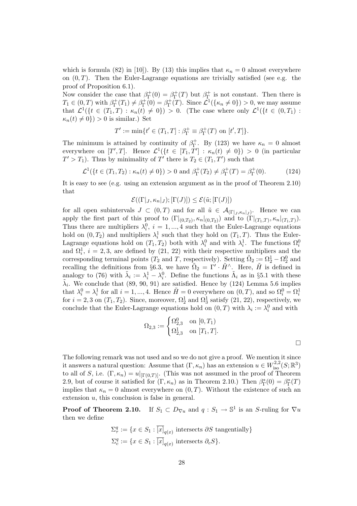which is formula (82) in [10]). By (13) this implies that  $\kappa_n = 0$  almost everywhere on  $(0,T)$ . Then the Euler-Lagrange equations are trivially satisfied (see e.g. the proof of Proposition 6.1).

Now consider the case that  $\beta_{\Gamma}^+$  $f_{\Gamma}^{+}(0) = \beta_{\Gamma}^{+}$  $\int_{\Gamma}^{+}(T)$  but  $\beta_{\Gamma}^{+}$ Γ is not constant. Then there is  $T_1 \in (0,T)$  with  $\beta_{\Gamma}^+$  $\Gamma^+_\Gamma(T_1) \neq \beta^+_\Gamma$  $\Gamma_{\Gamma}^{+}(0) = \beta_{\Gamma}^{+}$  $\mathcal{L}^1(\mathcal{T})$ . Since  $\mathcal{L}^1(\{\kappa_n \neq 0\}) > 0$ , we may assume that  $\mathcal{L}^1(\{t \in (T_1,T) : \kappa_n(t) \neq 0\}) > 0$ . (The case where only  $\mathcal{L}^1(\{t \in (0,T_1) :$  $\kappa_n(t) \neq 0$ }) > 0 is similar.) Set

$$
T' := \min\{t' \in (T_1, T] : \beta_{\Gamma}^+ \equiv \beta_{\Gamma}^+(T) \text{ on } [t', T] \}.
$$

The minimum is attained by continuity of  $\beta_{\Gamma}^+$ <sup>+</sup><sub>Γ</sub>. By (123) we have  $\kappa_n = 0$  almost everywhere on  $[T',T]$ . Hence  $\mathcal{L}^1(\{t \in [T_1,T'] : \kappa_n(t) \neq 0\}) > 0$  (in particular  $T' > T_1$ ). Thus by minimality of T' there is  $T_2 \in (T_1, T')$  such that

$$
\mathcal{L}^1(\{t \in (T_1, T_2) : \kappa_n(t) \neq 0\}) > 0 \text{ and } \beta_\Gamma^+(T_2) \neq \beta_\Gamma^+(T) = \beta_\Gamma^+(0). \tag{124}
$$

It is easy to see (e.g. using an extension argument as in the proof of Theorem 2.10) that

$$
\mathcal{E}((\Gamma|_J,\kappa_n|_J); [\Gamma(J)]) \leq \mathcal{E}(\tilde{u}; [\Gamma(J)])
$$

for all open subintervals  $J \subset (0,T)$  and for all  $\tilde{u} \in \mathcal{A}_{(\Gamma|_J,\kappa_n|_J)}$ . Hence we can apply the first part of this proof to  $(\Gamma|_{(0,T_2)}, \kappa_n|_{(0,T_2)})$  and to  $(\Gamma|_{(T_1,T)}, \kappa_n|_{(T_1,T)})$ . Thus there are multipliers  $\lambda_i^0$ ,  $i = 1, ..., 4$  such that the Euler-Lagrange equations hold on  $(0, T_2)$  and multipliers  $\lambda_i^1$  such that they hold on  $(T_1, T)$ . Thus the Euler-Lagrange equations hold on  $(T_1, T_2)$  both with  $\lambda_i^0$  and with  $\lambda_i^1$ . The functions  $\Omega_i^0$ and  $\Omega_i^1$ ,  $i = 2, 3$ , are defined by (21, 22) with their respective multipliers and the corresponding terminal points (T<sub>2</sub> and T, respectively). Setting  $\tilde{\Omega}_2 := \Omega_2^1 - \Omega_2^0$  and recalling the definitions from §6.3, we have  $\tilde{\Omega}_2 = \Gamma' \cdot \tilde{H}^{\wedge}$ . Here,  $\tilde{H}$  is defined in analogy to (76) with  $\tilde{\lambda}_i := \lambda_i^1 - \lambda_i^0$ . Define the functions  $\tilde{\Lambda}_i$  as in §5.1 with these  $\tilde{\lambda}_i$ . We conclude that (89, 90, 91) are satisfied. Hence by (124) Lemma 5.6 implies that  $\lambda_i^0 = \lambda_i^1$  for all  $i = 1, ..., 4$ . Hence  $\tilde{H} = 0$  everywhere on  $(0, T)$ , and so  $\Omega_i^0 = \Omega_i^1$ for  $i = 2, 3$  on  $(T_1, T_2)$ . Since, moreover,  $\Omega_2^1$  and  $\Omega_3^1$  satisfy  $(21, 22)$ , respectively, we conclude that the Euler-Lagrange equations hold on  $(0,T)$  with  $\lambda_i := \lambda_i^0$  and with

$$
\Omega_{2,3}:=\begin{cases}\Omega_{2,3}^0 & \text{on } [0,T_1) \\ \Omega_{2,3}^1 & \text{on } [T_1,T].\end{cases}
$$

 $\Box$ 

The following remark was not used and so we do not give a proof. We mention it since it answers a natural question: Assume that  $(\Gamma, \kappa_n)$  has an extension  $u \in W^{2,2}_{\text{iso}}(S;\mathbb{R}^3)$ to all of S, i.e.  $(\Gamma, \kappa_n) = u|_{[\Gamma(0,T)]}$ . (This was not assumed in the proof of Theorem 2.9, but of course it satisfied for  $(\Gamma, \kappa_n)$  as in Theorem 2.10.) Then  $\beta_{\Gamma}^*(0) = \beta_{\Gamma}^*(T)$ implies that  $\kappa_n = 0$  almost everywhere on  $(0, T)$ . Without the existence of such an extension u, this conclusion is false in general.

**Proof of Theorem 2.10.** If  $S_1 \subset D_{\nabla u}$  and  $q: S_1 \to \mathbb{S}^1$  is an S-ruling for  $\nabla u$ then we define

$$
\Sigma_{\tau}^{q} := \{ x \in S_1 : \overline{[x]}_{q(x)} \text{ intersects } \partial S \text{ tangentially} \}
$$
  

$$
\Sigma_{c}^{q} := \{ x \in S_1 : \overline{[x]}_{q(x)} \text{ intersects } \partial_c S \}.
$$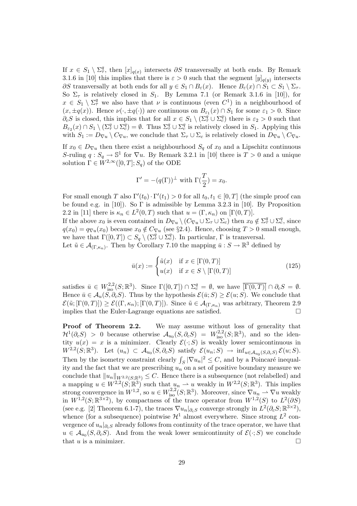If  $x \in S_1 \setminus \Sigma^q_\tau$ , then  $[x]_{q(x)}$  intersects  $\partial S$  transversally at both ends. By Remark 3.1.6 in [10] this implies that there is  $\varepsilon > 0$  such that the segment  $[y]_{q(y)}$  intersects  $\partial S$  transversally at both ends for all  $y \in S_1 \cap B_\varepsilon(x)$ . Hence  $B_\varepsilon(x) \cap S_1 \subset S_1 \setminus \Sigma_\tau$ . So  $\Sigma_{\tau}$  is relatively closed in  $S_1$ . By Lemma 7.1 (or Remark 3.1.6 in [10]), for  $x \in S_1 \setminus \Sigma^q_\tau$  we also have that  $\nu$  is continuous (even  $C^1$ ) in a neighbourhood of  $(x, \pm q(x))$ . Hence  $\nu(\cdot, \pm q(\cdot))$  are continuous on  $B_{\varepsilon_1}(x) \cap S_1$  for some  $\varepsilon_1 > 0$ . Since  $\partial_c S$  is closed, this implies that for all  $x \in S_1 \setminus (\Sigma^q_\tau \cup \Sigma^q_\epsilon)$  there is  $\varepsilon_2 > 0$  such that  $B_{\varepsilon_2}(x) \cap S_1 \setminus (\Sigma^q_\tau \cup \Sigma^q_\epsilon) = \emptyset$ . Thus  $\Sigma^q_\tau \cup \Sigma^q_\epsilon$  is relatively closed in  $S_1$ . Applying this with  $S_1 := D_{\nabla u} \setminus C_{\nabla u}$ , we conclude that  $\Sigma_{\tau} \cup \Sigma_c$  is relatively closed in  $D_{\nabla u} \setminus C_{\nabla u}$ .

If  $x_0 \in D_{\nabla u}$  then there exist a neighbourhood  $S_q$  of  $x_0$  and a Lipschitz continuous S-ruling  $q: S_q \to \mathbb{S}^1$  for  $\nabla u$ . By Remark 3.2.1 in [10] there is  $T > 0$  and a unique solution  $\Gamma \in W^{2,\infty}([0,T]; S_a)$  of the ODE

$$
\Gamma' = -(q(\Gamma))^{\perp} \text{ with } \Gamma(\frac{T}{2}) = x_0.
$$

For small enough T also  $\Gamma'(t_0) \cdot \Gamma'(t_1) > 0$  for all  $t_0, t_1 \in [0, T]$  (the simple proof can be found e.g. in [10]). So Γ is admissible by Lemma 3.2.3 in [10]. By Proposition 2.2 in [11] there is  $\kappa_n \in L^2(0,T)$  such that  $u = (\Gamma, \kappa_n)$  on  $[\Gamma(0,T)]$ .

If the above  $x_0$  is even contained in  $D_{\nabla u} \setminus (C_{\nabla u} \cup \Sigma_\tau \cup \Sigma_c)$  then  $x_0 \notin \Sigma_\tau^q \cup \Sigma_c^q$ , since  $q(x_0) = q_{\nabla u}(x_0)$  because  $x_0 \notin C_{\nabla u}$  (see §2.4). Hence, choosing  $T > 0$  small enough, we have that  $\Gamma([0,T]) \subset S_q \setminus (\Sigma^q_\tau \cup \Sigma^q_c)$ . In particular,  $\Gamma$  is transversal.

Let  $\tilde{u} \in \mathcal{A}_{(\Gamma,\kappa_n)}$ . Then by Corollary 7.10 the mapping  $\bar{u}: S \to \mathbb{R}^3$  defined by

$$
\bar{u}(x) := \begin{cases} \tilde{u}(x) & \text{if } x \in [\Gamma(0, T)] \\ u(x) & \text{if } x \in S \setminus [\Gamma(0, T)] \end{cases}
$$
\n(125)

satisfies  $\bar{u} \in W^{2,2}_{\text{iso}}(S;\mathbb{R}^3)$ . Since  $\Gamma([0,T]) \cap \Sigma_c^q = \emptyset$ , we have  $\overline{\Gamma(0,T)} \cap \partial_c S = \emptyset$ . Hence  $\bar{u} \in \mathcal{A}_u(\dot{S},\partial_c S)$ . Thus by the hypothesis  $\mathcal{E}(\bar{u};S) \geq \mathcal{E}(u;S)$ . We conclude that  $\mathcal{E}(\tilde{u};[\Gamma(0,T)]) \geq \mathcal{E}((\Gamma,\kappa_n);[\Gamma(0,T)]).$  Since  $\tilde{u} \in \mathcal{A}_{(\Gamma,\kappa_n)}$  was arbitrary, Theorem 2.9 implies that the Euler-Lagrange equations are satisfied.  $\Box$ 

**Proof of Theorem 2.2.** We may assume without loss of generality that  $\mathcal{H}^1(\partial_c S) > 0$  because otherwise  $\mathcal{A}_{u_0}(S, \partial_c S) = W^{2,2}_{\text{iso}}(S; \mathbb{R}^3)$ , and so the identity  $u(x) = x$  is a minimizer. Clearly  $\mathcal{E}(\cdot; S)$  is weakly lower semicontinuous in  $W^{2,2}(S;\mathbb{R}^3)$ . Let  $(u_n) \subset A_{u_0}(S,\partial_c S)$  satisfy  $\mathcal{E}(u_n;S) \to \inf_{u \in A_{u_0}(S,\partial_c S)} \mathcal{E}(u;S)$ . Then by the isometry constraint clearly  $\int_S |\nabla u_n|^2 \leq C$ , and by a Poincaré inequality and the fact that we are prescribing  $u_n$  on a set of positive boundary measure we conclude that  $||u_n||_{W^{2,2}(S;\mathbb{R}^3)} \leq C$ . Hence there is a subsequence (not relabelled) and a mapping  $u \in W^{2,2}(S; \mathbb{R}^3)$  such that  $u_n \rightharpoonup u$  weakly in  $W^{2,2}(S; \mathbb{R}^3)$ . This implies strong convergence in  $W^{1,2}$ , so  $u \in W^{2,2}_{\text{iso}}(S;\mathbb{R}^3)$ . Moreover, since  $\nabla u_n \rightharpoonup \nabla u$  weakly in  $W^{1,2}(S;\mathbb{R}^{3\times2})$ , by compactness of the trace operator from  $W^{1,2}(S)$  to  $L^2(\partial S)$ (see e.g. [2] Theorem 6.1-7), the traces  $\nabla u_n|_{\partial_c S}$  converge strongly in  $L^2(\partial_c S;\mathbb{R}^{3\times 2})$ , whence (for a subsequence) pointwise  $\mathcal{H}^1$  almost everywhere. Since strong  $L^2$  convergence of  $u_n|_{\partial_c S}$  already follows from continuity of the trace operator, we have that  $u \in \mathcal{A}_{u_0}(S, \partial_c S)$ . And from the weak lower semicontinuity of  $\mathcal{E}(\cdot; S)$  we conclude that  $u$  is a minimizer.  $\Box$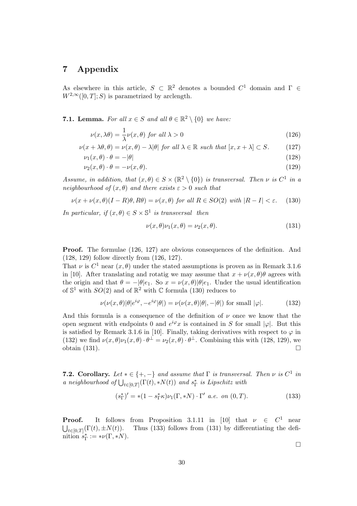# 7 Appendix

As elsewhere in this article,  $S \subset \mathbb{R}^2$  denotes a bounded  $C^1$  domain and  $\Gamma \in$  $W^{2,\infty}([0,T];S)$  is parametrized by arclength.

#### **7.1. Lemma.** For all  $x \in S$  and all  $\theta \in \mathbb{R}^2 \setminus \{0\}$  we have:

$$
\nu(x,\lambda\theta) = \frac{1}{\lambda}\nu(x,\theta) \text{ for all } \lambda > 0
$$
\n(126)

$$
\nu(x + \lambda \theta, \theta) = \nu(x, \theta) - \lambda |\theta| \text{ for all } \lambda \in \mathbb{R} \text{ such that } [x, x + \lambda] \subset S. \tag{127}
$$

$$
\nu_1(x,\theta) \cdot \theta = -|\theta| \tag{128}
$$

$$
\nu_2(x,\theta) \cdot \theta = -\nu(x,\theta). \tag{129}
$$

Assume, in addition, that  $(x, \theta) \in S \times (\mathbb{R}^2 \setminus \{0\})$  is transversal. Then  $\nu$  is  $C^1$  in a neighbourhood of  $(x, \theta)$  and there exists  $\varepsilon > 0$  such that

$$
\nu(x + \nu(x, \theta)(I - R)\theta, R\theta) = \nu(x, \theta) \text{ for all } R \in SO(2) \text{ with } |R - I| < \varepsilon. \tag{130}
$$

In particular, if  $(x, \theta) \in S \times \mathbb{S}^1$  is transversal then

$$
\nu(x,\theta)\nu_1(x,\theta) = \nu_2(x,\theta). \tag{131}
$$

Proof. The formulae (126, 127) are obvious consequences of the definition. And (128, 129) follow directly from (126, 127).

That  $\nu$  is  $C^1$  near  $(x, \theta)$  under the stated assumptions is proven as in Remark 3.1.6 in [10]. After translating and rotatig we may assume that  $x + \nu(x, \theta)\theta$  agrees with the origin and that  $\theta = -|\theta|e_1$ . So  $x = \nu(x, \theta)|\theta|e_1$ . Under the usual identification of  $\mathbb{S}^1$  with  $SO(2)$  and of  $\mathbb{R}^2$  with  $\mathbb C$  formula (130) reduces to

$$
\nu(\nu(x,\theta)|\theta|e^{i\varphi}, -e^{i\varphi}|\theta|) = \nu(\nu(x,\theta)|\theta|, -|\theta|) \text{ for small } |\varphi|.
$$
 (132)

And this formula is a consequence of the definition of  $\nu$  once we know that the open segment with endpoints 0 and  $e^{i\varphi}x$  is contained in S for small  $|\varphi|$ . But this is satisfied by Remark 3.1.6 in [10]. Finally, taking derivatives with respect to  $\varphi$  in (132) we find  $\nu(x,\theta)\nu_1(x,\theta)\cdot\theta^{\perp} = \nu_2(x,\theta)\cdot\theta^{\perp}$ . Combining this with (128, 129), we obtain  $(131)$ .

**7.2. Corollary.** Let  $* \in \{+, -\}$  and assume that  $\Gamma$  is transversal. Then  $\nu$  is  $C^1$  in a neighbourhood of  $\bigcup_{t \in [0,T]} (\Gamma(t), *N(t))$  and  $s_{\Gamma}^*$  is Lipschitz with

$$
(s_{\Gamma}^*)' = *(1 - s_{\Gamma}^* \kappa) \nu_1(\Gamma, *N) \cdot \Gamma' \quad a.e. \quad on \ (0, T). \tag{133}
$$

**Proof.** It follows from Proposition 3.1.11 in [10] that  $\nu \in C^1$  near  $\bigcup_{t\in[0,T]}$ Thus  $(133)$  follows from  $(131)$  by differentiating the definition  $s_{\Gamma}^* := * \nu(\Gamma, *N)$ .

 $\Box$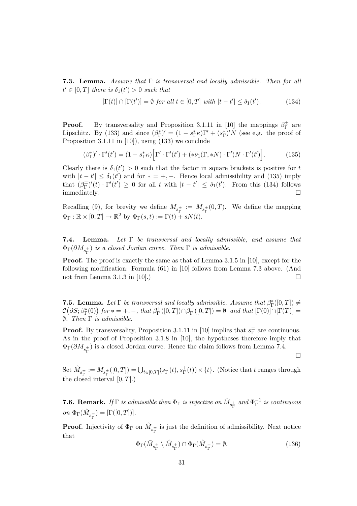**7.3. Lemma.** Assume that  $\Gamma$  is transversal and locally admissible. Then for all  $t' \in [0,T]$  there is  $\delta_1(t') > 0$  such that

$$
[\Gamma(t)] \cap [\Gamma(t')] = \emptyset \text{ for all } t \in [0, T] \text{ with } |t - t'| \le \delta_1(t'). \tag{134}
$$

**Proof.** By transversality and Proposition 3.1.11 in [10] the mappings  $\beta_{\Gamma}^{\pm}$  $_{\Gamma}^{\pm}$  are Lipschitz. By (133) and since  $(\beta_{\Gamma}^*)' = (1 - s_{\Gamma}^* \kappa) \Gamma' + (s_{\Gamma}^*)' N$  (see e.g. the proof of Proposition 3.1.11 in [10]), using (133) we conclude

$$
(\beta_{\Gamma}^*)'\cdot \Gamma'(t') = (1 - s_{\Gamma}^* \kappa) \Big[\Gamma'\cdot \Gamma'(t') + (*\nu_1(\Gamma, *N)\cdot \Gamma')N\cdot \Gamma'(t')\Big].
$$
 (135)

Clearly there is  $\delta_1(t') > 0$  such that the factor in square brackets is positive for t with  $|t - t'| \leq \delta_1(t')$  and for  $* = +, -$ . Hence local admissibility and (135) imply that  $(\beta_{\Gamma}^{\pm}$  $\frac{f_{\perp}}{\Gamma}$ ' $(t)$  ·  $\Gamma'(t') \geq 0$  for all t with  $|t - t'| \leq \delta_1(t')$ . From this (134) follows immediately.  $\Box$ 

Recalling (9), for brevity we define  $M_{s_{\Gamma}^{\pm}} := M_{s_{\Gamma}^{\pm}}(0,T)$ . We define the mapping  $\Phi_{\Gamma} : \mathbb{R} \times [0, T] \to \mathbb{R}^2$  by  $\Phi_{\Gamma}(s, t) := \Gamma(t) + sN(t)$ .

7.4. Lemma. Let Γ be transversal and locally admissible, and assume that  $\Phi_{\Gamma}(\partial M_{s_{\Gamma}^{\pm}})$  is a closed Jordan curve. Then  $\Gamma$  is admissible.

Proof. The proof is exactly the same as that of Lemma 3.1.5 in [10], except for the following modification: Formula (61) in [10] follows from Lemma 7.3 above. (And not from Lemma 3.1.3 in [10].)  $\Box$ 

**7.5. Lemma.** Let  $\Gamma$  be transversal and locally admissible. Assume that  $\beta_{\Gamma}^*([0,T]) \neq$  $\mathcal{C}\big(\partial S; \beta_{\Gamma}^{*}(0)\big)$  for  $* = +, -,$  that  $\beta_{\Gamma}^{+}$  $\Gamma_{\Gamma}^{+}([0,T]) \cap \beta_{\Gamma}^{-}$  $T_{\Gamma}^{-}([0,T]) = \emptyset$  and that  $[\Gamma(0)] \cap [\Gamma(T)] =$  $\emptyset$ . Then  $\Gamma$  is admissible.

**Proof.** By transversality, Proposition 3.1.11 in [10] implies that  $s_{\Gamma}^{\pm}$  $_{\Gamma}^{\pm}$  are continuous. As in the proof of Proposition 3.1.8 in [10], the hypotheses therefore imply that  $\Phi_{\Gamma}(\partial M_{s_{\Gamma}^{\pm}})$  is a closed Jordan curve. Hence the claim follows from Lemma 7.4.

¤

Set  $\hat{M}_{s_{\Gamma}^{\pm}}:=M_{s_{\Gamma}^{\pm}}([0,T])=\bigcup_{t\in[0,T]}(s_{\Gamma}^{-})$  $_{\Gamma}^{-}(t), s_{\Gamma}^{+}(t)) \times \{t\}.$  (Notice that t ranges through the closed interval  $[0, T]$ .)

**7.6. Remark.** If  $\Gamma$  is admissible then  $\Phi_{\Gamma}$  is injective on  $\hat{M}_{s_{\Gamma}^{\pm}}$  and  $\Phi_{\Gamma}^{-1}$  $\overline{\Gamma}^1$  is continuous on  $\Phi_{\Gamma}(\hat{M}_{s_{\Gamma}^{\pm}}) = [\Gamma([0,T])].$ 

**Proof.** Injectivity of  $\Phi_{\Gamma}$  on  $\hat{M}_{s_{\Gamma}^{\pm}}$  is just the definition of admissibility. Next notice that

$$
\Phi_{\Gamma}(\bar{M}_{s_{\Gamma}^{\pm}} \setminus \hat{M}_{s_{\Gamma}^{\pm}}) \cap \Phi_{\Gamma}(\hat{M}_{s_{\Gamma}^{\pm}}) = \emptyset. \tag{136}
$$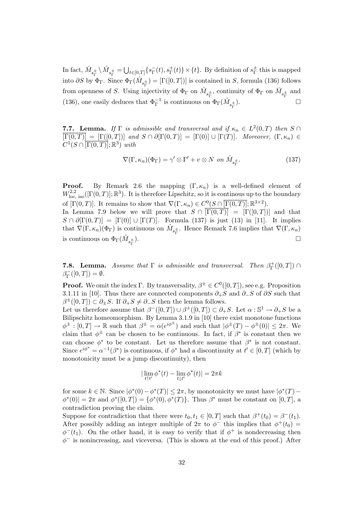In fact,  $\bar{M}_{s_{\Gamma}^{\pm}} \setminus \hat{M}_{s_{\Gamma}^{\pm}} = \bigcup_{t \in [0,T]} \{s_{\Gamma}^{-}$  $_{\Gamma}^{-}(t), s_{\Gamma}^{+}(t)\} \times \{t\}$ . By definition of  $s_{\Gamma}^{\pm}$  $_{\Gamma}^{\pm}$  this is mapped into  $\partial S$  by  $\Phi_{\Gamma}$ . Since  $\Phi_{\Gamma}(\hat{M}_{s_{\Gamma}^{\pm}}) = [\Gamma([0,T])]$  is contained in S, formula (136) follows from openness of S. Using injectivity of  $\Phi_{\Gamma}$  on  $\hat{M}_{s_{\Gamma}^{\pm}}$ , continuity of  $\Phi_{\Gamma}$  on  $\bar{M}_{s_{\Gamma}^{\pm}}$  and (136), one easily deduces that  $\Phi^{-1}_\Gamma$  is continuous on  $\Phi_\Gamma(\hat M_{s^{\pm}_\Gamma}$  $\Box$ 

**7.7. Lemma.** If  $\Gamma$  is admissible and transversal and if  $\kappa_n \in L^2(0,T)$  then  $S \cap$  $\overline{\Gamma(0,T)} = [\Gamma([0,T])]$  and  $S \cap \partial[\Gamma(0,T)] = [\Gamma(0)] \cup [\Gamma(T)]$ . Moreover,  $(\Gamma, \kappa_n) \in$  $C^1(S \cap \overline{[\Gamma(0,T)]}; \mathbb{R}^3)$  with

$$
\nabla(\Gamma, \kappa_n)(\Phi_{\Gamma}) = \gamma' \otimes \Gamma' + v \otimes N \text{ on } \hat{M}_{s_{\Gamma}^{\pm}}.
$$
 (137)

**Proof.** By Remark 2.6 the mapping  $(\Gamma, \kappa_n)$  is a well-defined element of  $W^{2,2}_{\text{loc, iso}}([ \Gamma(0,T)]; \mathbb{R}^3)$ . It is therefore Lipschitz, so it is continuous up to the boundary of  $[\Gamma(0,T)]$ . It remains to show that  $\nabla(\Gamma,\kappa_n) \in C^0(S \cap \overline{[\Gamma(0,T)]};\mathbb{R}^{3\times 2})$ . In Lemma 7.9 below we will prove that  $S \cap \overline{\Gamma(0,T)} = \Gamma([0,T])$  and that  $S \cap \partial [\Gamma(0,T)] = [\Gamma(0)] \cup [\Gamma(T)]$ . Formula (137) is just (13) in [11]. It implies that  $\nabla(\Gamma,\kappa_n)(\Phi_{\Gamma})$  is continuous on  $\hat{M}_{s_{\Gamma}^{\pm}}$ . Hence Remark 7.6 implies that  $\nabla(\Gamma,\kappa_n)$ is continuous on  $\Phi_{\Gamma}(\hat{M}_{s^{\pm}_{\Gamma}})$ ).  $\Box$ 

**7.8. Lemma.** Assume that  $\Gamma$  is admissible and transversal. Then  $\beta_{\Gamma}^+$  $\Gamma^+_\Gamma([0,T])\cap$  $\beta_{\Gamma}^ \Gamma_{\Gamma}^{-}([0,T]) = \emptyset.$ 

**Proof.** We omit the index Γ. By transversality,  $\beta^{\pm} \in C^{0}([0, T])$ , see e.g. Proposition 3.1.11 in [10]. Thus there are connected components  $\partial_{+}S$  and  $\partial_{-}S$  of  $\partial S$  such that  $\beta^{\pm}([0,T]) \subset \partial_{\pm}S$ . If  $\partial_{+}S \neq \partial_{-}S$  then the lemma follows.

Let us therefore assume that  $\beta^{-}([0,T]) \cup \beta^{+}([0,T]) \subset \partial_{+}S$ . Let  $\alpha : \mathbb{S}^1 \to \partial_{+}S$  be a Bilipschitz homeomorphism. By Lemma 3.1.9 in [10] there exist monotone functions  $\phi^{\pm} : [0,T] \to \mathbb{R}$  such that  $\beta^{\pm} = \alpha(e^{i\phi^{\pm}})$  and such that  $|\phi^{\pm}(T) - \phi^{\pm}(0)| \leq 2\pi$ . We claim that  $\phi^{\pm}$  can be chosen to be continuous. In fact, if  $\beta^*$  is constant then we can choose  $\phi^*$  to be constant. Let us therefore assume that  $\beta^*$  is not constant. Since  $e^{i\phi^*} = \alpha^{-1}(\beta^*)$  is continuous, if  $\phi^*$  had a discontinuity at  $t' \in [0, T]$  (which by monotonicity must be a jump discontinuity), then

$$
|\lim_{t \uparrow t'} \phi^*(t) - \lim_{t \downarrow t'} \phi^*(t)| = 2\pi k
$$

for some  $k \in \mathbb{N}$ . Since  $|\phi^*(0) - \phi^*(T)| \leq 2\pi$ , by monotonicity we must have  $|\phi^*(T) \phi^*(0) = 2\pi$  and  $\phi^*([0,T]) = {\phi^*(0), \phi^*(T)}$ . Thus  $\beta^*$  must be constant on  $[0,T]$ , a contradiction proving the claim.

Suppose for contradiction that there were  $t_0, t_1 \in [0, T]$  such that  $\beta^+(t_0) = \beta^-(t_1)$ . After possibly adding an integer multiple of  $2\pi$  to  $\phi^-$  this implies that  $\phi^+(t_0)$  =  $\phi^{-}(t_1)$ . On the other hand, it is easy to verify that if  $\phi^{+}$  is nondecreasing then  $\phi^-$  is nonincreasing, and viceversa. (This is shown at the end of this proof.) After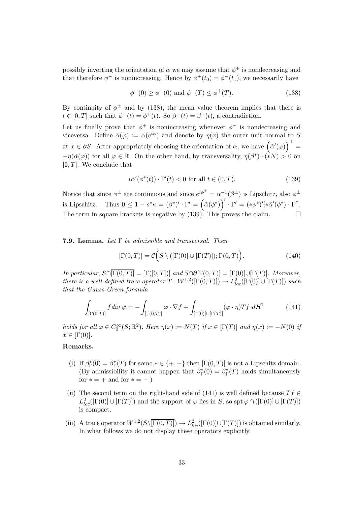possibly inverting the orientation of  $\alpha$  we may assume that  $\phi^+$  is nondecreasing and that therefore  $\phi^-$  is nonincreasing. Hence by  $\phi^+(t_0) = \phi^-(t_1)$ , we necessarily have

$$
\phi^-(0) \ge \phi^+(0) \text{ and } \phi^-(T) \le \phi^+(T). \tag{138}
$$

By continuity of  $\phi^{\pm}$  and by (138), the mean value theorem implies that there is  $t \in [0, T]$  such that  $\phi^{-}(t) = \phi^{+}(t)$ . So  $\beta^{-}(t) = \beta^{+}(t)$ , a contradiction.

Let us finally prove that  $\phi^+$  is nonincreasing whenever  $\phi^-$  is nondecreasing and viceversa. Define  $\tilde{\alpha}(\varphi) := \alpha(e^{i\varphi})$  and denote by  $\eta(x)$  the outer unit normal to S at  $x \in \partial S$ . After appropriately choosing the orientation of  $\alpha$ , we have  $\left(\tilde{\alpha}'(\varphi)\right)^{\perp} =$  $-\eta(\tilde{\alpha}(\varphi))$  for all  $\varphi \in \mathbb{R}$ . On the other hand, by transversality,  $\eta(\beta^*) \cdot (\star N) > 0$  on  $[0, T]$ . We conclude that

$$
*\tilde{\alpha}'(\phi^*(t)) \cdot \Gamma'(t) < 0 \text{ for all } t \in (0, T). \tag{139}
$$

Notice that since  $\phi^{\pm}$  are continuous and since  $e^{i\phi^{\pm}} = \alpha^{-1}(\beta^{\pm})$  is Lipschitz, also  $\phi^{\pm}$ is Lipschitz. Thus  $0 \leq 1 - s^* \kappa = (\beta^*)' \cdot \Gamma' = (\tilde{\alpha}(\phi^*))' \cdot \Gamma' = (*\phi^*)'[\ast \tilde{\alpha}'(\phi^*) \cdot \Gamma']$ . The term in square brackets is negative by  $(139)$ . This proves the claim.

#### **7.9. Lemma.** Let  $\Gamma$  be admissible and transversal. Then

$$
[\Gamma(0,T)] = \mathcal{C}\Big(S \setminus ([\Gamma(0)] \cup [\Gamma(T)]); \Gamma(0,T)\Big). \tag{140}
$$

In particular,  $S \cap [\Gamma(0,T)] = [\Gamma([0,T])]$  and  $S \cap \partial [\Gamma(0,T)] = [\Gamma(0)] \cup [\Gamma(T)]$ . Moreover, there is a well-defined trace operator  $T: W^{1,2}([\Gamma(0,T)]) \to L^2_{loc}([\Gamma(0)] \cup [\Gamma(T)])$  such that the Gauss-Green formula

$$
\int_{\left[\Gamma(0,T)\right]} f \, div \, \varphi = -\int_{\left[\Gamma(0,T)\right]} \varphi \cdot \nabla f + \int_{\left[\Gamma(0)\right] \cup \left[\Gamma(T)\right]} (\varphi \cdot \eta) T f \, d\mathcal{H}^1 \tag{141}
$$

holds for all  $\varphi \in C_0^{\infty}(S; \mathbb{R}^2)$ . Here  $\eta(x) := N(T)$  if  $x \in [\Gamma(T)]$  and  $\eta(x) := -N(0)$  if  $x \in [\Gamma(0)].$ 

#### Remarks.

- (i) If  $\beta_{\Gamma}^*(0) = \beta_{\Gamma}^*(T)$  for some  $* \in \{+, -\}$  then  $[\Gamma(0,T)]$  is not a Lipschitz domain. (By admissibility it cannot happen that  $\beta_{\Gamma}^*(0) = \beta_{\Gamma}^*(T)$  holds simultaneously for  $* = +$  and for  $* = -$ .)
- (ii) The second term on the right-hand side of (141) is well defined because  $Tf \in$  $L^2_{loc}([ \Gamma(0) ] \cup [ \Gamma(T) ] )$  and the support of  $\varphi$  lies in S, so spt  $\varphi \cap ([ \Gamma(0) ] \cup [ \Gamma(T) ] )$ is compact.
- (iii) A trace operator  $W^{1,2}(S\setminus\overline{[\Gamma(0,T)]}) \to L^2_{loc}([\Gamma(0)] \cup [\Gamma(T)])$  is obtained similarly. In what follows we do not display these operators explicitly.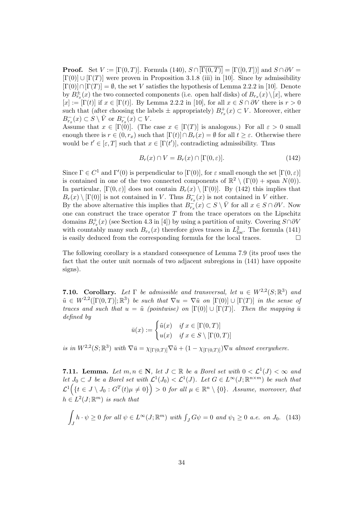**Proof.** Set  $V := [\Gamma(0,T)]$ . Formula (140),  $S \cap [\Gamma(0,T)] = [\Gamma([0,T])]$  and  $S \cap \partial V =$  $[\Gamma(0)] \cup [\Gamma(T)]$  were proven in Proposition 3.1.8 (iii) in [10]. Since by admissibility  $[\Gamma(0)] \cap [\Gamma(T)] = \emptyset$ , the set V satisfies the hypothesis of Lemma 2.2.2 in [10]. Denote by  $B^{\pm}_{r_x}(x)$  the two connected components (i.e. open half disks) of  $B_{r_x}(x)\setminus [x]$ , where  $[x] := [\Gamma(t)]$  if  $x \in [\Gamma(t)]$ . By Lemma 2.2.2 in [10], for all  $x \in S \cap \partial V$  there is  $r > 0$ such that (after choosing the labels  $\pm$  appropriately)  $B_{r_x}^+(x) \subset V$ . Moreover, either  $B_{r_x}^-(x) \subset S \setminus \bar{V}$  or  $B_{r_x}^-(x) \subset V$ .

Assume that  $x \in [\Gamma(0)]$ . (The case  $x \in [\Gamma(T)]$  is analogous.) For all  $\varepsilon > 0$  small enough there is  $r \in (0, r_x)$  such that  $[\Gamma(t)] \cap B_r(x) = \emptyset$  for all  $t \geq \varepsilon$ . Otherwise there would be  $t' \in [\varepsilon, T]$  such that  $x \in [\Gamma(t')]$ , contradicting admissibility. Thus

$$
B_r(x) \cap V = B_r(x) \cap [\Gamma(0, \varepsilon)]. \tag{142}
$$

Since  $\Gamma \in C^1$  and  $\Gamma'(0)$  is perpendicular to  $[\Gamma(0)]$ , for  $\varepsilon$  small enough the set  $[\Gamma(0, \varepsilon)]$ is contained in one of the two connected components of  $\mathbb{R}^2 \setminus (\Gamma(0) + \text{span } N(0)).$ In particular,  $[\Gamma(0, \varepsilon)]$  does not contain  $B_r(x) \setminus [\Gamma(0)]$ . By (142) this implies that  $B_r(x) \setminus [\Gamma(0)]$  is not contained in V. Thus  $B_{r_x}^-(x)$  is not contained in V either. By the above alternative this implies that  $B_{r_x}^-(x) \subset S \setminus \bar{V}$  for all  $x \in S \cap \partial V$ . Now one can construct the trace operator  $T$  from the trace operators on the Lipschitz domains  $B_{r_x}^+(x)$  (see Section 4.3 in [4]) by using a partition of unity. Covering  $S \cap \partial V$ with countably many such  $B_{r_x}(x)$  therefore gives traces in  $L^2_{loc}$ . The formula (141) is easily deduced from the corresponding formula for the local traces.  $\Box$ 

The following corollary is a standard consequence of Lemma 7.9 (its proof uses the fact that the outer unit normals of two adjacent subregions in (141) have opposite signs).

**7.10. Corollary.** Let  $\Gamma$  be admissible and transversal, let  $u \in W^{2,2}(S;\mathbb{R}^3)$  and  $\tilde{u} \in W^{2,2}([\Gamma(0,T)]; \mathbb{R}^3)$  be such that  $\nabla u = \nabla \tilde{u}$  on  $[\Gamma(0)] \cup [\Gamma(T)]$  in the sense of traces and such that  $u = \tilde{u}$  (pointwise) on  $[\Gamma(0)] \cup [\Gamma(T)]$ . Then the mapping  $\bar{u}$ defined by

$$
\bar{u}(x) := \begin{cases} \tilde{u}(x) & \text{if } x \in [\Gamma(0, T)] \\ u(x) & \text{if } x \in S \setminus [\Gamma(0, T)] \end{cases}
$$

is in  $W^{2,2}(S;\mathbb{R}^3)$  with  $\nabla \bar{u} = \chi_{[\Gamma(0,T)]} \nabla \tilde{u} + (1 - \chi_{[\Gamma(0,T)]}) \nabla u$  almost everywhere.

**7.11. Lemma.** Let  $m, n \in \mathbb{N}$ , let  $J \subset \mathbb{R}$  be a Borel set with  $0 < \mathcal{L}^1(J) < \infty$  and let  $J_0 \subset J$  be a Borel set with  $\mathcal{L}^1(J_0) < \mathcal{L}^1(J)$ . Let  $G \in L^{\infty}(J;\mathbb{R}^{n \times m})$  be such that  $\mathcal{L}^1\Big(\{t\in J\setminus J_0: G^T(t)\mu\neq 0\}\Big)>0$  for all  $\mu\in\mathbb{R}^n\setminus\{0\}.$  Assume, moreover, that  $h \in L^2(J; \mathbb{R}^m)$  is such that

$$
\int_{J} h \cdot \psi \ge 0 \text{ for all } \psi \in L^{\infty}(J; \mathbb{R}^m) \text{ with } \int_{J} G \psi = 0 \text{ and } \psi_1 \ge 0 \text{ a.e. on } J_0. \tag{143}
$$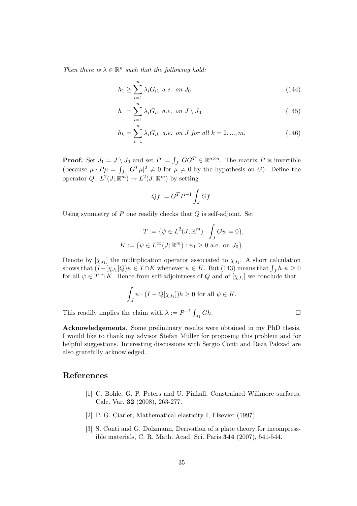Then there is  $\lambda \in \mathbb{R}^n$  such that the following hold:

$$
h_1 \ge \sum_{i=1}^n \lambda_i G_{i1} \ a.e. \ on \ J_0 \tag{144}
$$

$$
h_1 = \sum_{i=1}^{n} \lambda_i G_{i1} \ a.e. \ on \ J \setminus J_0 \tag{145}
$$

$$
h_k = \sum_{i=1}^{n} \lambda_i G_{ik} \ a.e. \ on \ J \ for \ all \ k = 2, ..., m. \tag{146}
$$

**Proof.** Set  $J_1 = J \setminus J_0$  and set  $P := \int_{J_1} GG^T \in \mathbb{R}^{n \times n}$ . The matrix P is invertible (because  $\mu \cdot P\mu = \int_{J_1} |G^T\mu|^2 \neq 0$  for  $\mu \neq 0$  by the hypothesis on G). Define the operator  $Q: L^2(J; \mathbb{R}^m) \to L^2(J; \mathbb{R}^m)$  by setting

$$
Qf := G^T P^{-1} \int_J Gf.
$$

Using symmetry of  $P$  one readily checks that  $Q$  is self-adjoint. Set

$$
T := \{ \psi \in L^{2}(J; \mathbb{R}^{m}) : \int_{J} G \psi = 0 \},\newline K := \{ \psi \in L^{\infty}(J; \mathbb{R}^{m}) : \psi_{1} \geq 0 \text{ a.e. on } J_{0} \}.
$$

Denote by  $[\chi_{J_1}]$  the multiplication operator associated to  $\chi_{J_1}$ . A short calculation shows that  $(I - [\chi_{J_1}]Q)\psi \in T \cap K$  whenever  $\psi \in K$ . But (143) means that  $\int_J h \cdot \psi \ge 0$ for all  $\psi \in T \cap K$ . Hence from self-adjointness of Q and of  $[\chi_{J_1}]$  we conclude that

$$
\int_{J} \psi \cdot (I - Q[\chi_{J_1}]) h \ge 0 \text{ for all } \psi \in K.
$$

This readily implies the claim with  $\lambda := P^{-1} \int_{J_1} G h$ .

Acknowledgements. Some preliminary results were obtained in my PhD thesis. I would like to thank my advisor Stefan Müller for proposing this problem and for helpful suggestions. Interesting discussions with Sergio Conti and Reza Pakzad are also gratefully acknowledged.

### References

- [1] C. Bohle, G. P. Peters and U. Pinkall, Constrained Willmore surfaces, Calc. Var. 32 (2008), 263-277.
- [2] P. G. Ciarlet, Mathematical elasticity I, Elsevier (1997).
- [3] S. Conti and G. Dolzmann, Derivation of a plate theory for incompressible materials, C. R. Math. Acad. Sci. Paris 344 (2007), 541-544.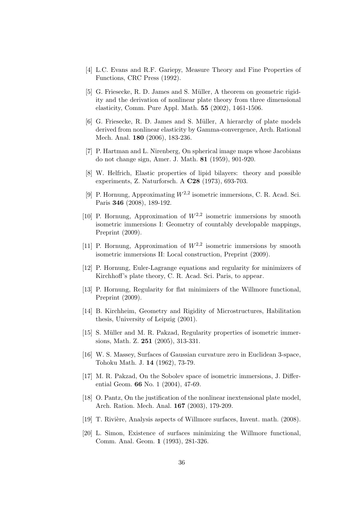- [4] L.C. Evans and R.F. Gariepy, Measure Theory and Fine Properties of Functions, CRC Press (1992).
- [5] G. Friesecke, R. D. James and S. Müller, A theorem on geometric rigidity and the derivation of nonlinear plate theory from three dimensional elasticity, Comm. Pure Appl. Math. 55 (2002), 1461-1506.
- [6] G. Friesecke, R. D. James and S. Müller, A hierarchy of plate models derived from nonlinear elasticity by Gamma-convergence, Arch. Rational Mech. Anal. 180 (2006), 183-236.
- [7] P. Hartman and L. Nirenberg, On spherical image maps whose Jacobians do not change sign, Amer. J. Math. 81 (1959), 901-920.
- [8] W. Helfrich, Elastic properties of lipid bilayers: theory and possible experiments, Z. Naturforsch. A C28 (1973), 693-703.
- [9] P. Hornung, Approximating  $W^{2,2}$  isometric immersions, C. R. Acad. Sci. Paris 346 (2008), 189-192.
- [10] P. Hornung, Approximation of  $W^{2,2}$  isometric immersions by smooth isometric immersions I: Geometry of countably developable mappings, Preprint (2009).
- [11] P. Hornung, Approximation of  $W^{2,2}$  isometric immersions by smooth isometric immersions II: Local construction, Preprint (2009).
- [12] P. Hornung, Euler-Lagrange equations and regularity for minimizers of Kirchhoff's plate theory, C. R. Acad. Sci. Paris, to appear.
- [13] P. Hornung, Regularity for flat minimizers of the Willmore functional, Preprint (2009).
- [14] B. Kirchheim, Geometry and Rigidity of Microstructures, Habilitation thesis, University of Leipzig (2001).
- [15] S. Müller and M. R. Pakzad, Regularity properties of isometric immersions, Math. Z. 251 (2005), 313-331.
- [16] W. S. Massey, Surfaces of Gaussian curvature zero in Euclidean 3-space, Tohoku Math. J. 14 (1962), 73-79.
- [17] M. R. Pakzad, On the Sobolev space of isometric immersions, J. Differential Geom. 66 No. 1 (2004), 47-69.
- [18] O. Pantz, On the justification of the nonlinear inextensional plate model, Arch. Ration. Mech. Anal. 167 (2003), 179-209.
- [19] T. Rivière, Analysis aspects of Willmore surfaces, Invent. math. (2008).
- [20] L. Simon, Existence of surfaces minimizing the Willmore functional, Comm. Anal. Geom. 1 (1993), 281-326.